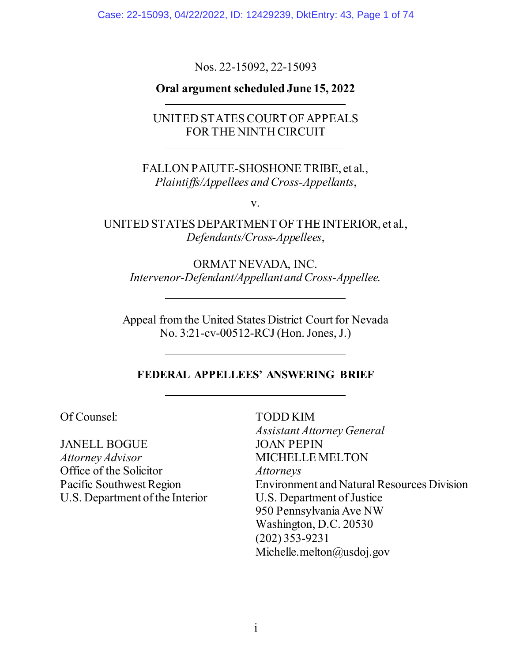Case: 22-15093, 04/22/2022, ID: 12429239, DktEntry: 43, Page 1 of 74

Nos. 22-15092, 22-15093

## **Oral argument scheduled June 15, 2022**

UNITED STATES COURT OF APPEALS FOR THE NINTH CIRCUIT

FALLON PAIUTE-SHOSHONE TRIBE, et al., *Plaintiffs/Appellees and Cross-Appellants*,

v.

UNITED STATES DEPARTMENT OF THE INTERIOR, et al., *Defendants/Cross-Appellees*,

ORMAT NEVADA, INC. *Intervenor-Defendant/Appellant and Cross-Appellee.* 

Appeal from the United States District Court for Nevada No. 3:21-cv-00512-RCJ (Hon. Jones, J.)

#### **FEDERAL APPELLEES' ANSWERING BRIEF**

TODD KIM

Of Counsel:

JANELL BOGUE *Attorney Advisor*  Office of the Solicitor Pacific Southwest Region U.S. Department of the Interior *Assistant Attorney General* JOAN PEPIN MICHELLE MELTON *Attorneys* Environment and Natural Resources Division U.S. Department of Justice 950 Pennsylvania Ave NW Washington, D.C. 20530 (202) 353-9231 Michelle.melton@usdoj.gov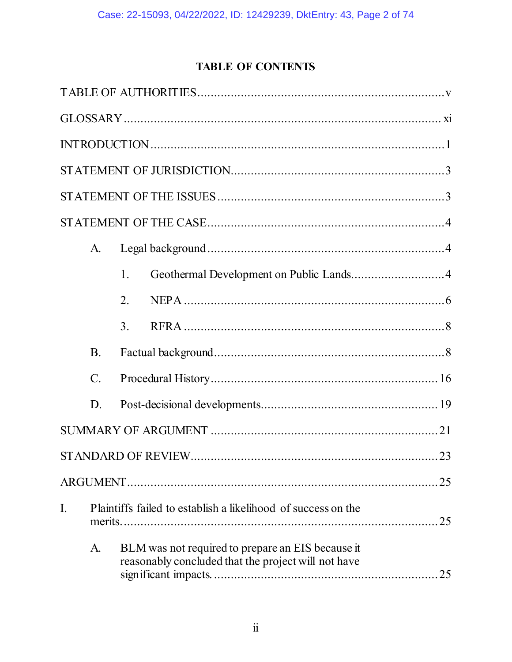# **TABLE OF CONTENTS**

|    | A.              |    |                                                                                                                |
|----|-----------------|----|----------------------------------------------------------------------------------------------------------------|
|    |                 | 1. | Geothermal Development on Public Lands4                                                                        |
|    |                 | 2. |                                                                                                                |
|    |                 | 3. |                                                                                                                |
|    | <b>B.</b>       |    |                                                                                                                |
|    | $\mathcal{C}$ . |    |                                                                                                                |
|    | D.              |    |                                                                                                                |
|    |                 |    |                                                                                                                |
|    |                 |    |                                                                                                                |
|    |                 |    | 25                                                                                                             |
| I. |                 |    | Plaintiffs failed to establish a likelihood of success on the<br>25                                            |
|    | A.              |    | BLM was not required to prepare an EIS because it<br>reasonably concluded that the project will not have<br>25 |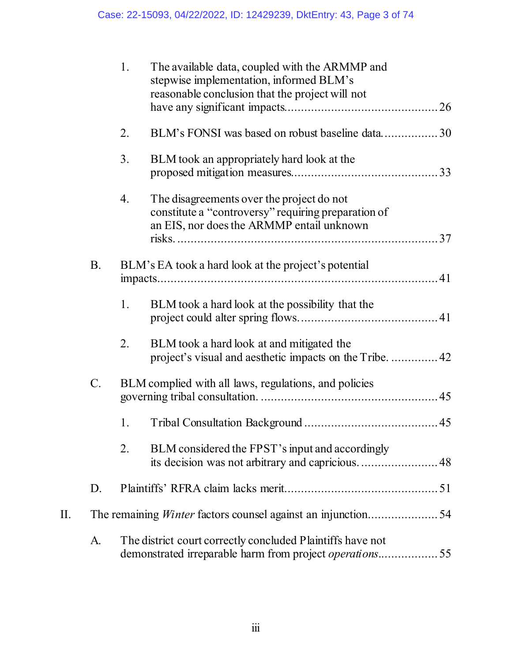|    |           | 1. | The available data, coupled with the ARMMP and<br>stepwise implementation, informed BLM's<br>reasonable conclusion that the project will not  |
|----|-----------|----|-----------------------------------------------------------------------------------------------------------------------------------------------|
|    |           | 2. | BLM's FONSI was based on robust baseline data30                                                                                               |
|    |           | 3. | BLM took an appropriately hard look at the                                                                                                    |
|    |           | 4. | The disagreements over the project do not<br>constitute a "controversy" requiring preparation of<br>an EIS, nor does the ARMMP entail unknown |
|    | <b>B.</b> |    | BLM's EA took a hard look at the project's potential                                                                                          |
|    |           | 1. | BLM took a hard look at the possibility that the                                                                                              |
|    |           | 2. | BLM took a hard look at and mitigated the<br>project's visual and aesthetic impacts on the Tribe42                                            |
|    | C.        |    | BLM complied with all laws, regulations, and policies                                                                                         |
|    |           | 1. |                                                                                                                                               |
|    |           | 2. | BLM considered the FPST's input and accordingly<br>its decision was not arbitrary and capricious 48                                           |
|    | D.        |    |                                                                                                                                               |
| Π. |           |    | The remaining <i>Winter</i> factors counsel against an injunction54                                                                           |
|    | A.        |    | The district court correctly concluded Plaintiffs have not<br>demonstrated irreparable harm from project operations55                         |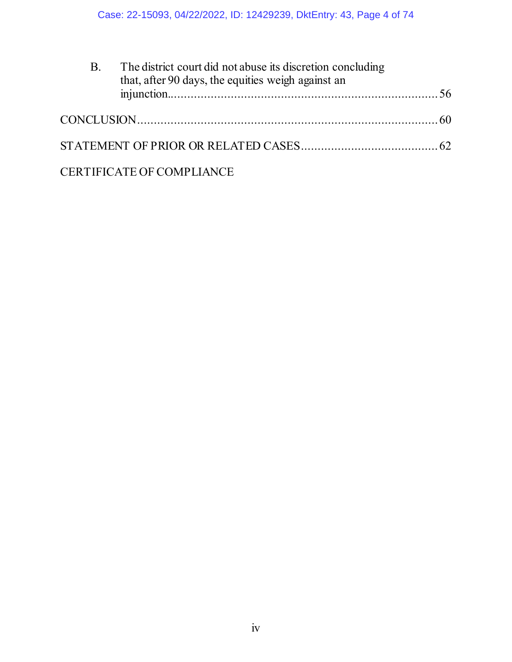| <b>B.</b> | The district court did not abuse its discretion concluding<br>that, after 90 days, the equities weigh against an |  |
|-----------|------------------------------------------------------------------------------------------------------------------|--|
|           |                                                                                                                  |  |
|           |                                                                                                                  |  |
|           | <b>CERTIFICATE OF COMPLIANCE</b>                                                                                 |  |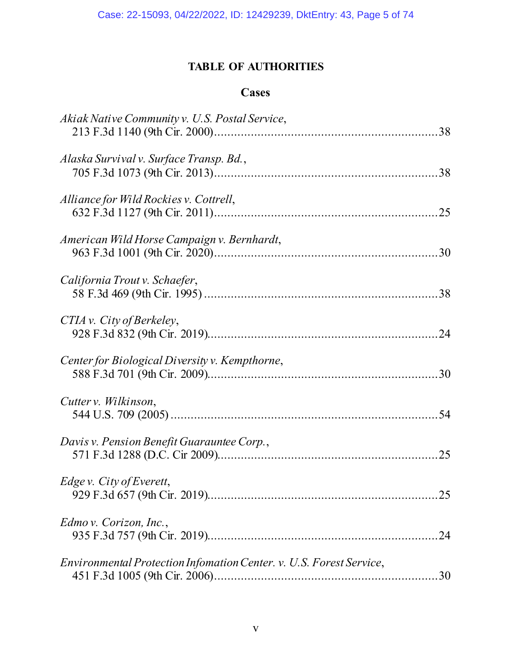# **TABLE OF AUTHORITIES**

## **Cases**

<span id="page-4-0"></span>

| Akiak Native Community v. U.S. Postal Service,                      |  |
|---------------------------------------------------------------------|--|
| Alaska Survival v. Surface Transp. Bd.,                             |  |
| Alliance for Wild Rockies v. Cottrell,                              |  |
| American Wild Horse Campaign v. Bernhardt,                          |  |
| California Trout v. Schaefer,                                       |  |
| CTIA v. City of Berkeley,                                           |  |
| Center for Biological Diversity v. Kempthorne,                      |  |
| Cutter v. Wilkinson,                                                |  |
| Davis v. Pension Benefit Guarauntee Corp.,                          |  |
| Edge v. City of Everett,                                            |  |
| Edmo v. Corizon, Inc.,                                              |  |
| Environmental Protection Infomation Center. v. U.S. Forest Service, |  |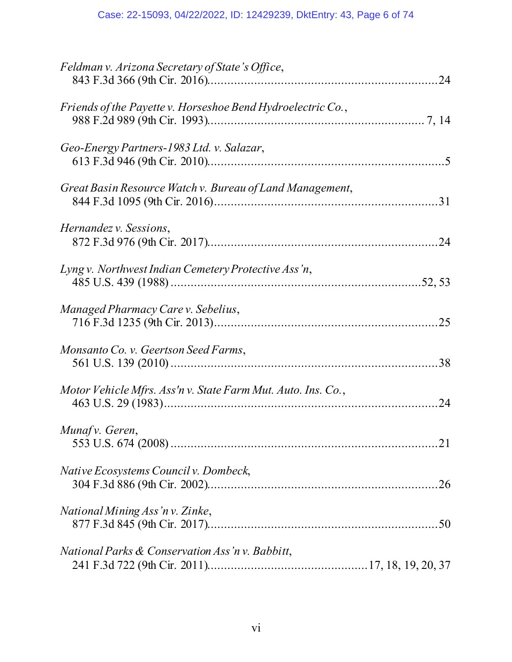| Feldman v. Arizona Secretary of State's Office,              |
|--------------------------------------------------------------|
| Friends of the Payette v. Horseshoe Bend Hydroelectric Co.,  |
| Geo-Energy Partners-1983 Ltd. v. Salazar,                    |
| Great Basin Resource Watch v. Bureau of Land Management,     |
| Hernandez v. Sessions,                                       |
| Lyng v. Northwest Indian Cemetery Protective Ass'n,          |
| Managed Pharmacy Care v. Sebelius,                           |
| Monsanto Co. v. Geertson Seed Farms,                         |
| Motor Vehicle Mfrs. Ass'n v. State Farm Mut. Auto. Ins. Co., |
| Munaf v. Geren,                                              |
| Native Ecosystems Council v. Dombeck,                        |
| National Mining Ass'n v. Zinke,                              |
| National Parks & Conservation Ass'n v. Babbitt,              |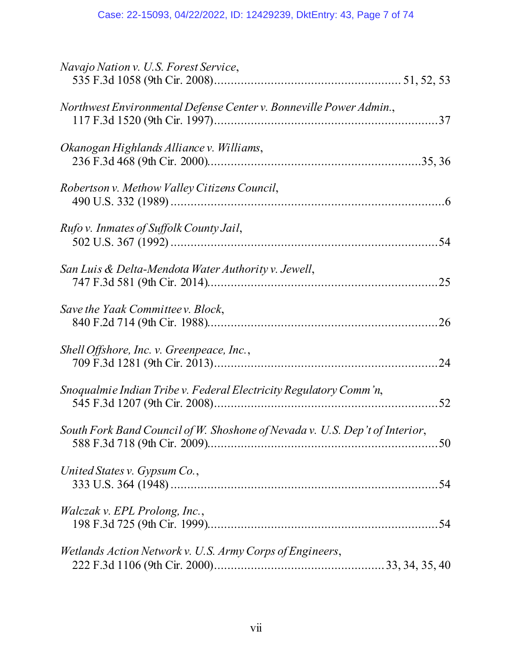| Navajo Nation v. U.S. Forest Service,                                       |
|-----------------------------------------------------------------------------|
| Northwest Environmental Defense Center v. Bonneville Power Admin.,          |
| Okanogan Highlands Alliance v. Williams,                                    |
| Robertson v. Methow Valley Citizens Council,                                |
| Rufo v. Inmates of Suffolk County Jail,                                     |
| San Luis & Delta-Mendota Water Authority v. Jewell,                         |
| Save the Yaak Committeev. Block,                                            |
| Shell Offshore, Inc. v. Greenpeace, Inc.,                                   |
| Snoqualmie Indian Tribe v. Federal Electricity Regulatory Comm'n,           |
| South Fork Band Council of W. Shoshone of Nevada v. U.S. Dep't of Interior, |
| United States v. Gypsum Co.,                                                |
| <i>Walczak v. EPL Prolong, Inc.,</i>                                        |
| Wetlands Action Network v. U.S. Army Corps of Engineers,                    |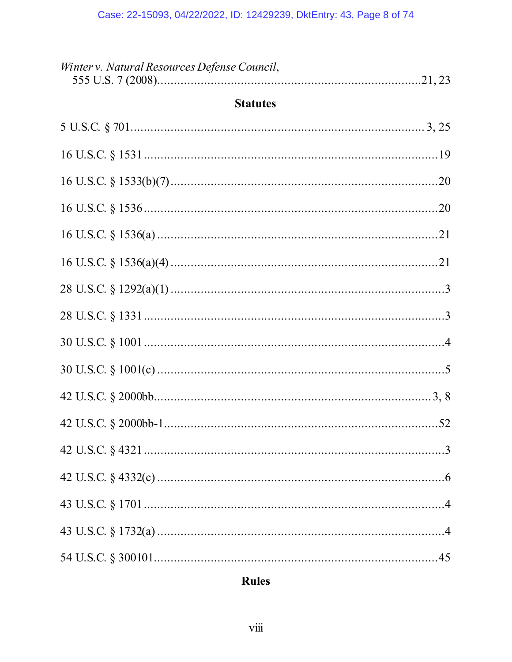| Winter v. Natural Resources Defense Council, |  |
|----------------------------------------------|--|
| <b>Statutes</b>                              |  |
|                                              |  |
|                                              |  |
|                                              |  |
|                                              |  |
|                                              |  |
|                                              |  |
|                                              |  |
|                                              |  |
|                                              |  |
|                                              |  |
|                                              |  |
|                                              |  |
|                                              |  |
|                                              |  |
|                                              |  |
|                                              |  |
|                                              |  |

# **Rules**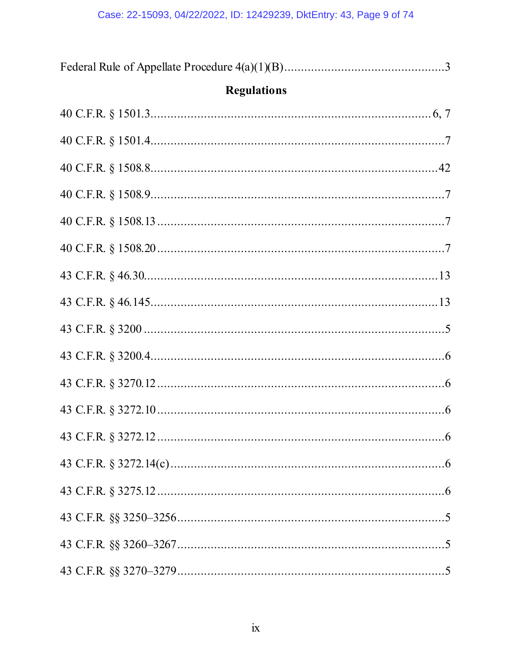| <b>Regulations</b> |  |
|--------------------|--|
|                    |  |
|                    |  |
|                    |  |
|                    |  |
|                    |  |
|                    |  |
|                    |  |
|                    |  |
|                    |  |
|                    |  |
|                    |  |
|                    |  |
|                    |  |
|                    |  |
|                    |  |
|                    |  |
|                    |  |
|                    |  |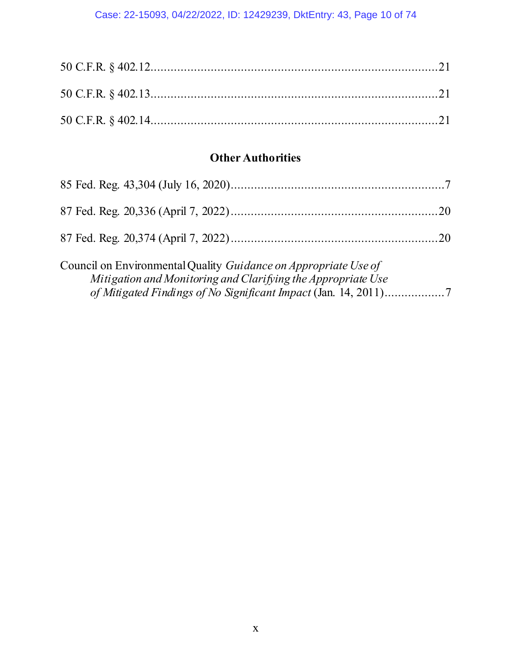## Case: 22-15093, 04/22/2022, ID: 12429239, DktEntry: 43, Page 10 of 74

# **Other Authorities**

<span id="page-9-0"></span>

| Council on Environmental Quality <i>Guidance on Appropriate Use of</i> |  |
|------------------------------------------------------------------------|--|
| Mitigation and Monitoring and Clarifying the Appropriate Use           |  |
|                                                                        |  |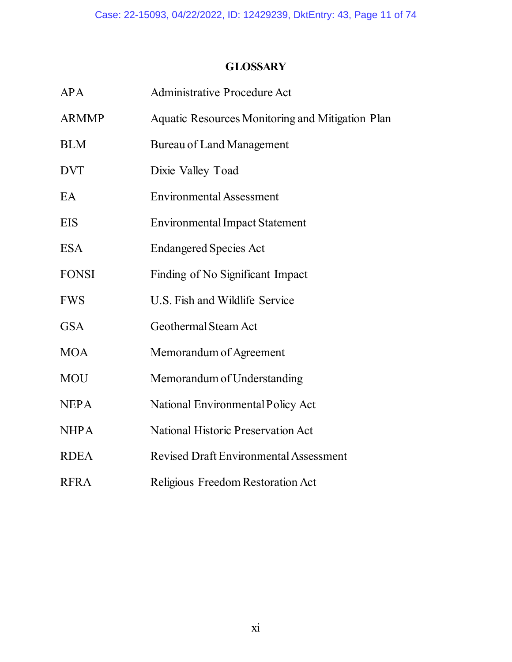# **GLOSSARY**

| APA          | <b>Administrative Procedure Act</b>                     |
|--------------|---------------------------------------------------------|
| <b>ARMMP</b> | <b>Aquatic Resources Monitoring and Mitigation Plan</b> |
| <b>BLM</b>   | <b>Bureau of Land Management</b>                        |
| <b>DVT</b>   | Dixie Valley Toad                                       |
| EA           | <b>Environmental Assessment</b>                         |
| EIS          | <b>Environmental Impact Statement</b>                   |
| <b>ESA</b>   | <b>Endangered Species Act</b>                           |
| <b>FONSI</b> | Finding of No Significant Impact                        |
| <b>FWS</b>   | U.S. Fish and Wildlife Service                          |
| <b>GSA</b>   | Geothermal Steam Act                                    |
| <b>MOA</b>   | Memorandum of Agreement                                 |
| <b>MOU</b>   | Memorandum of Understanding                             |
| <b>NEPA</b>  | National Environmental Policy Act                       |
| <b>NHPA</b>  | <b>National Historic Preservation Act</b>               |
| <b>RDEA</b>  | <b>Revised Draft Environmental Assessment</b>           |
| <b>RFRA</b>  | Religious Freedom Restoration Act                       |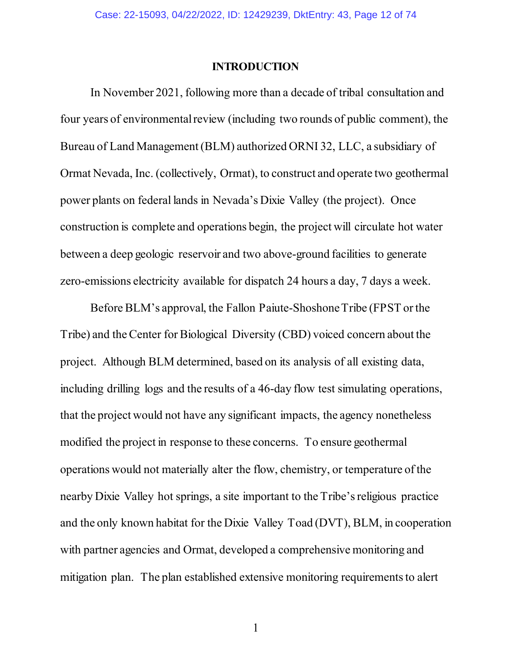#### **INTRODUCTION**

<span id="page-11-0"></span>In November 2021, following more than a decade of tribal consultation and four years of environmental review (including two rounds of public comment), the Bureau of Land Management (BLM) authorized ORNI 32, LLC, a subsidiary of Ormat Nevada, Inc. (collectively, Ormat), to construct and operate two geothermal power plants on federal lands in Nevada's Dixie Valley (the project). Once construction is complete and operations begin, the project will circulate hot water between a deep geologic reservoir and two above-ground facilities to generate zero-emissions electricity available for dispatch 24 hours a day, 7 days a week.

Before BLM's approval, the Fallon Paiute-Shoshone Tribe (FPST or the Tribe) and the Center for Biological Diversity (CBD) voiced concern about the project. Although BLM determined, based on its analysis of all existing data, including drilling logs and the results of a 46-day flow test simulating operations, that the project would not have any significant impacts, the agency nonetheless modified the project in response to these concerns. To ensure geothermal operations would not materially alter the flow, chemistry, or temperature of the nearby Dixie Valley hot springs, a site important to the Tribe's religious practice and the only known habitat for the Dixie Valley Toad (DVT), BLM, in cooperation with partner agencies and Ormat, developed a comprehensive monitoring and mitigation plan. The plan established extensive monitoring requirements to alert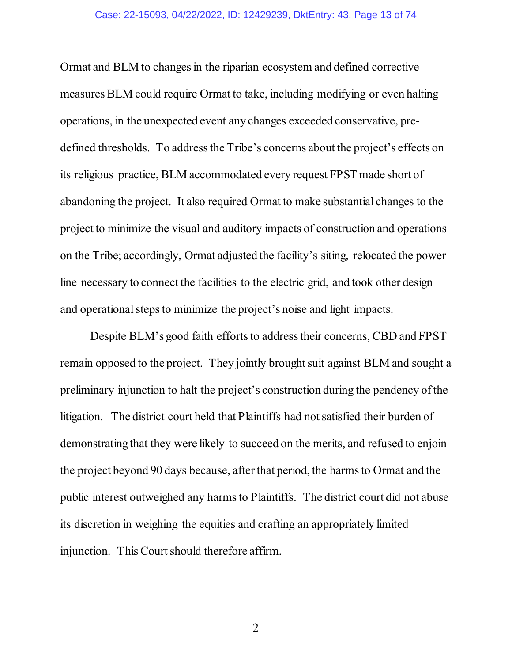#### Case: 22-15093, 04/22/2022, ID: 12429239, DktEntry: 43, Page 13 of 74

Ormat and BLM to changes in the riparian ecosystem and defined corrective measures BLM could require Ormat to take, including modifying or even halting operations, in the unexpected event any changes exceeded conservative, predefined thresholds. To address the Tribe's concerns about the project's effects on its religious practice, BLM accommodated every request FPST made short of abandoning the project. It also required Ormat to make substantial changes to the project to minimize the visual and auditory impacts of construction and operations on the Tribe; accordingly, Ormat adjusted the facility's siting, relocated the power line necessary to connect the facilities to the electric grid, and took other design and operational steps to minimize the project's noise and light impacts.

Despite BLM's good faith efforts to address their concerns, CBD and FPST remain opposed to the project. They jointly brought suit against BLM and sought a preliminary injunction to halt the project's construction during the pendency of the litigation. The district court held that Plaintiffs had not satisfied their burden of demonstrating that they were likely to succeed on the merits, and refused to enjoin the project beyond 90 days because, afterthat period, the harms to Ormat and the public interest outweighed any harms to Plaintiffs. The district court did not abuse its discretion in weighing the equities and crafting an appropriately limited injunction. This Court should therefore affirm.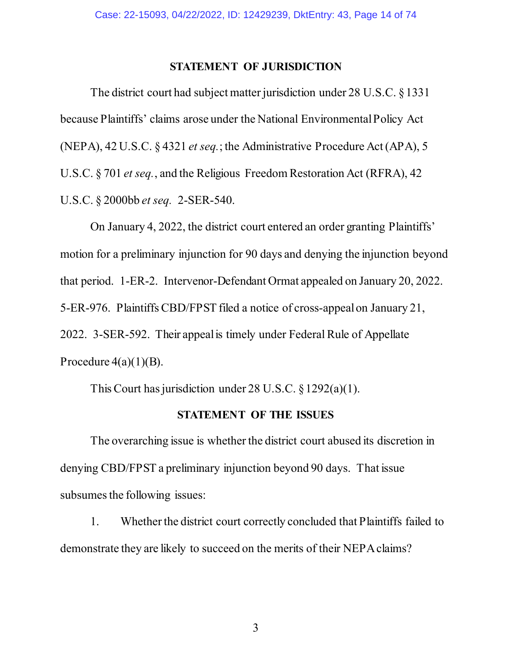#### **STATEMENT OF JURISDICTION**

<span id="page-13-0"></span>The district court had subject matter jurisdiction under 28 U.S.C. §1331 because Plaintiffs' claims arose under the National Environmental Policy Act (NEPA), 42 U.S.C. § 4321 *et seq.*; the Administrative Procedure Act (APA), 5 U.S.C. § 701 *et seq.*, and the Religious Freedom Restoration Act (RFRA), 42 U.S.C. § 2000bb *et seq.* 2-SER-540.

On January 4, 2022, the district court entered an order granting Plaintiffs' motion for a preliminary injunction for 90 days and denying the injunction beyond that period. 1-ER-2. Intervenor-Defendant Ormat appealed on January 20, 2022. 5-ER-976. Plaintiffs CBD/FPST filed a notice of cross-appeal on January 21, 2022. 3-SER-592. Their appeal is timely under Federal Rule of Appellate Procedure  $4(a)(1)(B)$ .

This Court has jurisdiction under 28 U.S.C. § 1292(a)(1).

#### **STATEMENT OF THE ISSUES**

<span id="page-13-1"></span>The overarching issue is whether the district court abused its discretion in denying CBD/FPST a preliminary injunction beyond 90 days. That issue subsumes the following issues:

1. Whether the district court correctly concluded that Plaintiffs failed to demonstrate they are likely to succeed on the merits of their NEPA claims?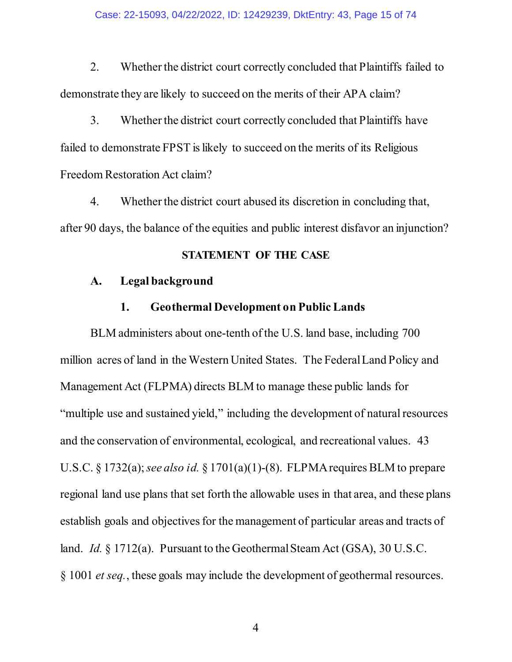#### Case: 22-15093, 04/22/2022, ID: 12429239, DktEntry: 43, Page 15 of 74

2. Whether the district court correctly concluded that Plaintiffs failed to demonstrate they are likely to succeed on the merits of their APA claim?

3. Whether the district court correctly concluded that Plaintiffs have failed to demonstrate FPST is likely to succeed on the merits of its Religious Freedom Restoration Act claim?

4. Whether the district court abused its discretion in concluding that, after 90 days, the balance of the equities and public interest disfavor an injunction?

### **STATEMENT OF THE CASE**

#### <span id="page-14-1"></span><span id="page-14-0"></span>**A. Legal background**

### **1. Geothermal Development on Public Lands**

<span id="page-14-2"></span>BLM administers about one-tenth of the U.S. land base, including 700 million acres of land in the Western United States. The Federal Land Policy and Management Act (FLPMA) directs BLM to manage these public lands for "multiple use and sustained yield," including the development of natural resources and the conservation of environmental, ecological, and recreational values. 43 U.S.C. § 1732(a); *see also id.* § 1701(a)(1)-(8). FLPMArequires BLM to prepare regional land use plans that set forth the allowable uses in that area, and these plans establish goals and objectives for the management of particular areas and tracts of land. *Id.* § 1712(a). Pursuant to the Geothermal Steam Act (GSA), 30 U.S.C. § 1001 *et seq.*, these goals may include the development of geothermal resources.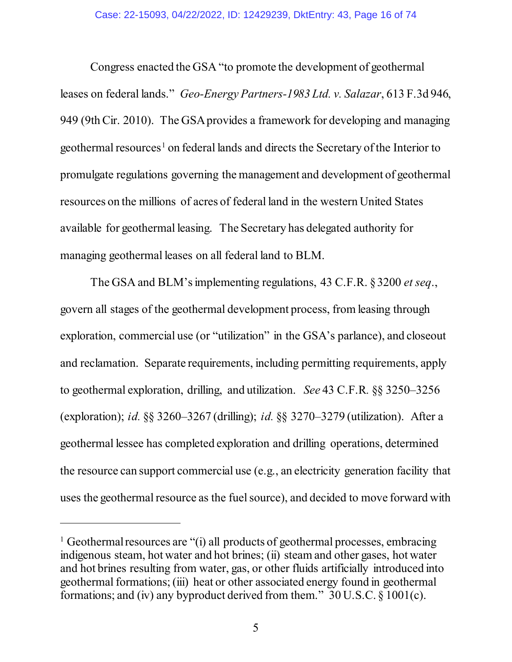Congress enacted the GSA "to promote the development of geothermal leases on federal lands." *Geo-Energy Partners-1983 Ltd. v. Salazar*, 613 F.3d 946, 949 (9th Cir. 2010). The GSAprovides a framework for developing and managing geothermal resources<sup>[1](#page-15-0)</sup> on federal lands and directs the Secretary of the Interior to promulgate regulations governing the management and development of geothermal resources on the millions of acres of federal land in the western United States available for geothermal leasing. The Secretary has delegated authority for managing geothermal leases on all federal land to BLM.

The GSA and BLM'simplementing regulations, 43 C.F.R. § 3200 *et seq*., govern all stages of the geothermal development process, from leasing through exploration, commercial use (or "utilization" in the GSA's parlance), and closeout and reclamation. Separate requirements, including permitting requirements, apply to geothermal exploration, drilling, and utilization. *See* 43 C.F.R*.* §§ 3250–3256 (exploration); *id.* §§ 3260–3267 (drilling); *id.* §§ 3270–3279 (utilization). After a geothermal lessee has completed exploration and drilling operations, determined the resource can support commercial use (e.g., an electricity generation facility that uses the geothermal resource as the fuel source), and decided to move forward with

 $\ddot{\phantom{a}}$ 

<span id="page-15-0"></span><sup>&</sup>lt;sup>1</sup> Geothermal resources are "(i) all products of geothermal processes, embracing indigenous steam, hot water and hot brines; (ii) steam and other gases, hot water and hot brines resulting from water, gas, or other fluids artificially introduced into geothermal formations; (iii) heat or other associated energy found in geothermal formations; and (iv) any byproduct derived from them."  $30$  U.S.C. § 1001(c).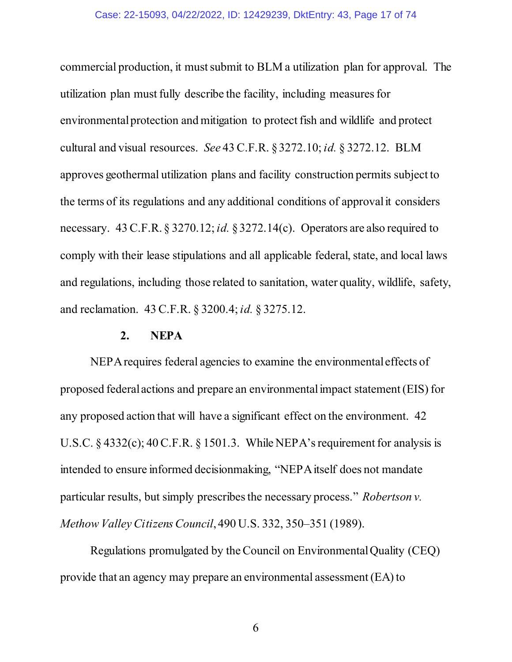#### Case: 22-15093, 04/22/2022, ID: 12429239, DktEntry: 43, Page 17 of 74

commercial production, it must submit to BLM a utilization plan for approval. The utilization plan must fully describe the facility, including measures for environmental protection and mitigation to protect fish and wildlife and protect cultural and visual resources. *See* 43 C.F.R. §3272.10; *id.* § 3272.12. BLM approves geothermal utilization plans and facility construction permits subject to the terms of its regulations and any additional conditions of approval it considers necessary. 43 C.F.R. § 3270.12; *id.* §3272.14(c). Operators are also required to comply with their lease stipulations and all applicable federal, state, and local laws and regulations, including those related to sanitation, water quality, wildlife, safety, and reclamation. 43 C.F.R. § 3200.4; *id.* § 3275.12.

#### **2. NEPA**

<span id="page-16-0"></span>NEPArequires federal agencies to examine the environmental effects of proposed federal actions and prepare an environmental impact statement (EIS) for any proposed action that will have a significant effect on the environment. 42 U.S.C. § 4332(c); 40 C.F.R. § 1501.3. While NEPA's requirement for analysis is intended to ensure informed decisionmaking, "NEPA itself does not mandate particular results, but simply prescribes the necessary process." *Robertson v. Methow Valley Citizens Council*, 490 U.S. 332, 350–351 (1989).

Regulations promulgated by the Council on Environmental Quality (CEQ) provide that an agency may prepare an environmental assessment (EA) to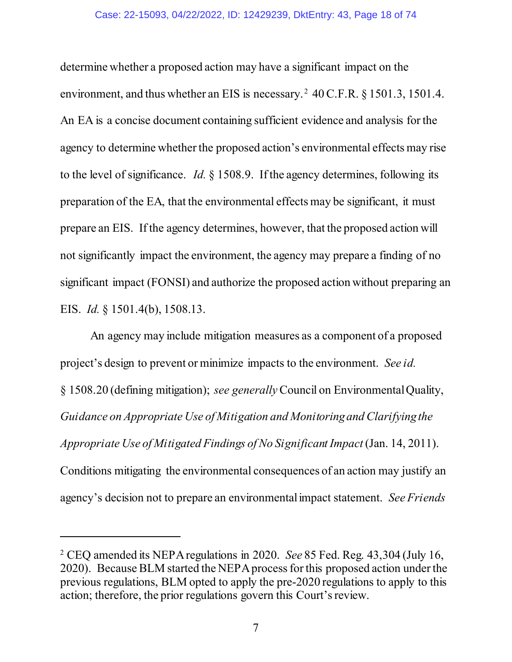determine whether a proposed action may have a significant impact on the environment, and thus whether an EIS is necessary.<sup>[2](#page-17-0)</sup> 40 C.F.R.  $\S$  1501.3, 1501.4. An EA is a concise document containing sufficient evidence and analysis for the agency to determine whether the proposed action's environmental effects may rise to the level of significance. *Id.* § 1508.9. If the agency determines, following its preparation of the EA, that the environmental effects may be significant, it must prepare an EIS. If the agency determines, however, that the proposed action will not significantly impact the environment, the agency may prepare a finding of no significant impact (FONSI) and authorize the proposed action without preparing an EIS. *Id.* § 1501.4(b), 1508.13.

An agency may include mitigation measures as a component of a proposed project's design to prevent or minimize impacts to the environment. *See id.*  § 1508.20 (defining mitigation); *see generally* Council on Environmental Quality, *Guidance on Appropriate Use of Mitigation and Monitoring and Clarifying the Appropriate Use of Mitigated Findings of No Significant Impact* (Jan. 14, 2011). Conditions mitigating the environmental consequences of an action may justify an agency's decision not to prepare an environmental impact statement. *See Friends* 

<span id="page-17-0"></span><sup>2</sup> CEQ amended its NEPA regulations in 2020. *See* 85 Fed. Reg. 43,304 (July 16, 2020). Because BLM started the NEPA process for this proposed action under the previous regulations, BLM opted to apply the pre-2020 regulations to apply to this action; therefore, the prior regulations govern this Court's review.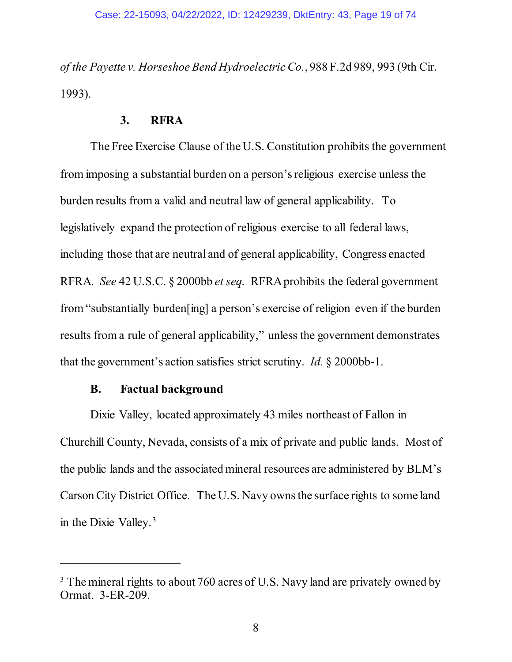*of the Payette v. Horseshoe Bend Hydroelectric Co.*, 988 F.2d 989, 993 (9th Cir. 1993).

### **3. RFRA**

<span id="page-18-0"></span>The Free Exercise Clause of the U.S. Constitution prohibits the government from imposing a substantial burden on a person's religious exercise unless the burden results from a valid and neutral law of general applicability. To legislatively expand the protection of religious exercise to all federal laws, including those that are neutral and of general applicability, Congress enacted RFRA. *See* 42 U.S.C. § 2000bb *et seq.* RFRA prohibits the federal government from "substantially burden[ing] a person's exercise of religion even if the burden results from a rule of general applicability," unless the government demonstrates that the government's action satisfies strict scrutiny. *Id.* § 2000bb-1.

### **B. Factual background**

 $\ddot{\phantom{a}}$ 

<span id="page-18-1"></span>Dixie Valley, located approximately 43 miles northeast of Fallon in Churchill County, Nevada, consists of a mix of private and public lands. Most of the public lands and the associated mineral resources are administered by BLM's Carson City District Office. The U.S. Navy owns the surface rights to some land in the Dixie Valley. [3](#page-18-2)

<span id="page-18-2"></span><sup>&</sup>lt;sup>3</sup> The mineral rights to about 760 acres of U.S. Navy land are privately owned by Ormat. 3-ER-209.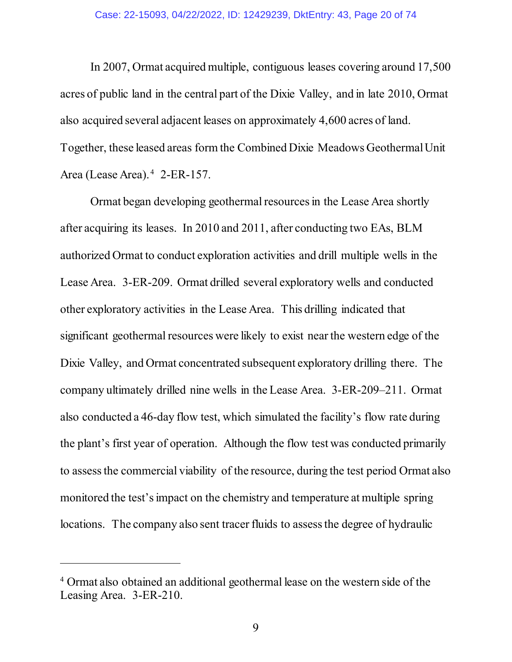In 2007, Ormat acquired multiple, contiguous leases covering around 17,500 acres of public land in the central part of the Dixie Valley, and in late 2010, Ormat also acquired several adjacent leases on approximately 4,600 acres of land. Together, these leased areas form the Combined Dixie Meadows GeothermalUnit Area (Lease Area). [4](#page-19-0) 2-ER-157.

Ormat began developing geothermal resources in the Lease Area shortly after acquiring its leases. In 2010 and 2011, after conducting two EAs, BLM authorized Ormat to conduct exploration activities and drill multiple wells in the Lease Area. 3-ER-209. Ormat drilled several exploratory wells and conducted other exploratory activities in the Lease Area. This drilling indicated that significant geothermal resources were likely to exist near the western edge of the Dixie Valley, and Ormat concentrated subsequent exploratory drilling there. The company ultimately drilled nine wells in the Lease Area. 3-ER-209–211. Ormat also conducted a 46-day flow test, which simulated the facility's flow rate during the plant's first year of operation. Although the flow test was conducted primarily to assess the commercial viability of the resource, during the test period Ormat also monitored the test's impact on the chemistry and temperature at multiple spring locations. The company also sent tracer fluids to assess the degree of hydraulic

 $\ddot{\phantom{a}}$ 

<span id="page-19-0"></span><sup>4</sup> Ormat also obtained an additional geothermal lease on the western side of the Leasing Area. 3-ER-210.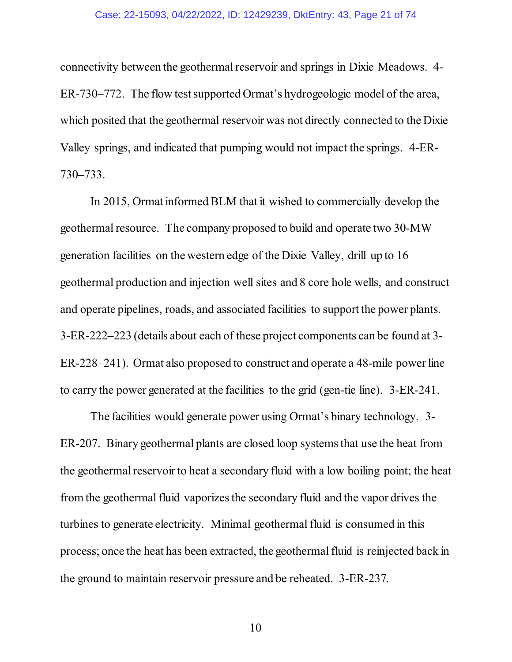#### Case: 22-15093, 04/22/2022, ID: 12429239, DktEntry: 43, Page 21 of 74

connectivity between the geothermal reservoir and springs in Dixie Meadows. 4- ER-730–772. The flow test supported Ormat's hydrogeologic model of the area, which posited that the geothermal reservoir was not directly connected to the Dixie Valley springs, and indicated that pumping would not impact the springs. 4-ER-730–733.

In 2015, Ormat informed BLM that it wished to commercially develop the geothermal resource. The company proposed to build and operate two 30-MW generation facilities on the western edge of the Dixie Valley, drill up to 16 geothermal production and injection well sites and 8 core hole wells, and construct and operate pipelines, roads, and associated facilities to support the power plants. 3-ER-222–223 (details about each of these project components can be found at 3- ER-228–241). Ormat also proposed to construct and operate a 48-mile power line to carry the power generated at the facilities to the grid (gen-tie line). 3-ER-241.

The facilities would generate power using Ormat's binary technology. 3- ER-207. Binary geothermal plants are closed loop systems that use the heat from the geothermal reservoir to heat a secondary fluid with a low boiling point; the heat from the geothermal fluid vaporizes the secondary fluid and the vapor drives the turbines to generate electricity. Minimal geothermal fluid is consumed in this process; once the heat has been extracted, the geothermal fluid is reinjected back in the ground to maintain reservoir pressure and be reheated. 3-ER-237.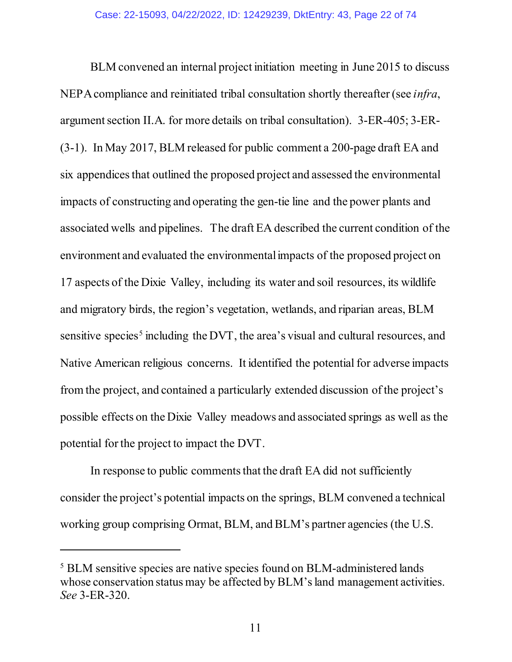BLM convened an internal project initiation meeting in June 2015 to discuss NEPA compliance and reinitiated tribal consultation shortly thereafter (see *infra*, argument section II.A. for more details on tribal consultation). 3-ER-405; 3-ER- (3-1). In May 2017, BLM released for public comment a 200-page draft EA and six appendices that outlined the proposed project and assessed the environmental impacts of constructing and operating the gen-tie line and the power plants and associated wells and pipelines. The draft EA described the current condition of the environment and evaluated the environmental impacts of the proposed project on 17 aspects of the Dixie Valley, including its water and soil resources, its wildlife and migratory birds, the region's vegetation, wetlands, and riparian areas, BLM sensitive species<sup>[5](#page-21-0)</sup> including the DVT, the area's visual and cultural resources, and Native American religious concerns. It identified the potential for adverse impacts from the project, and contained a particularly extended discussion of the project's possible effects on the Dixie Valley meadows and associated springs as well as the potential for the project to impact the DVT.

In response to public comments that the draft EA did not sufficiently consider the project's potential impacts on the springs, BLM convened a technical working group comprising Ormat, BLM, and BLM's partner agencies (the U.S.

<span id="page-21-0"></span><sup>5</sup> BLM sensitive species are native species found on BLM-administered lands whose conservation status may be affected by BLM's land management activities. *See* 3-ER-320.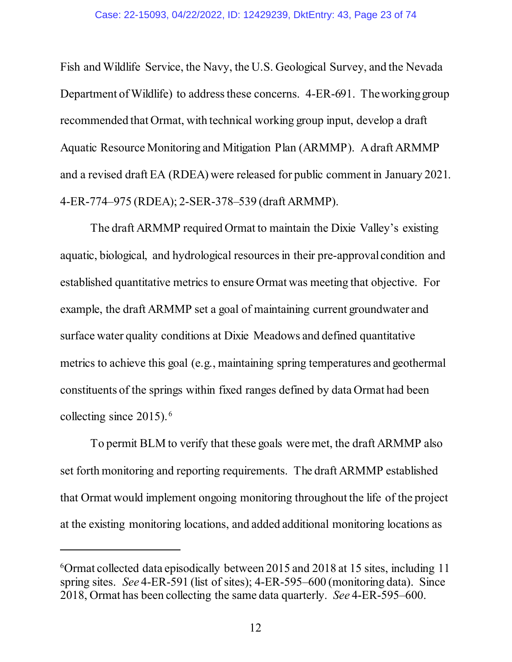Fish and Wildlife Service, the Navy, the U.S. Geological Survey, and the Nevada Department of Wildlife) to address these concerns. 4-ER-691. The working group recommended that Ormat, with technical working group input, develop a draft Aquatic Resource Monitoring and Mitigation Plan (ARMMP). A draft ARMMP and a revised draft EA (RDEA) were released for public comment in January 2021. 4-ER-774–975 (RDEA); 2-SER-378–539 (draft ARMMP).

The draft ARMMP required Ormat to maintain the Dixie Valley's existing aquatic, biological, and hydrological resourcesin their pre-approval condition and established quantitative metrics to ensure Ormat was meeting that objective. For example, the draft ARMMP set a goal of maintaining current groundwater and surface water quality conditions at Dixie Meadows and defined quantitative metrics to achieve this goal (e.g., maintaining spring temperatures and geothermal constituents of the springs within fixed ranges defined by data Ormat had been collecting since 2015). [6](#page-22-0)

To permit BLM to verify that these goals were met, the draft ARMMP also set forth monitoring and reporting requirements. The draft ARMMP established that Ormat would implement ongoing monitoring throughout the life of the project at the existing monitoring locations, and added additional monitoring locations as

<span id="page-22-0"></span><sup>6</sup> Ormat collected data episodically between 2015 and 2018 at 15 sites, including 11 spring sites. *See* 4-ER-591 (list of sites); 4-ER-595–600 (monitoring data). Since 2018, Ormat has been collecting the same data quarterly. *See* 4-ER-595–600.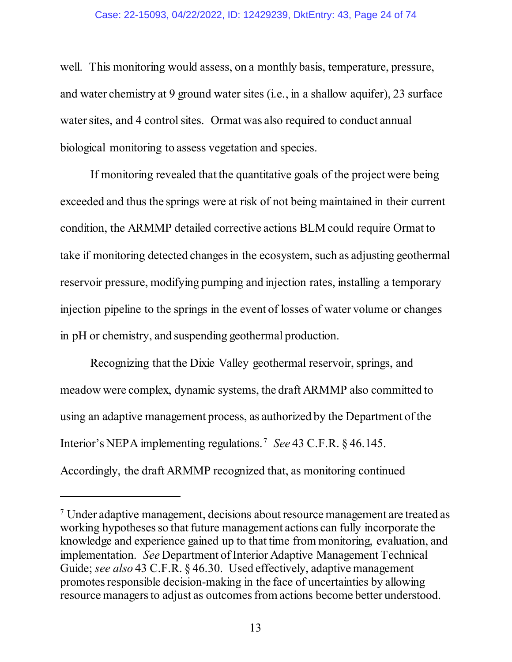#### Case: 22-15093, 04/22/2022, ID: 12429239, DktEntry: 43, Page 24 of 74

well. This monitoring would assess, on a monthly basis, temperature, pressure, and water chemistry at 9 ground water sites (i.e., in a shallow aquifer), 23 surface water sites, and 4 control sites. Ormat was also required to conduct annual biological monitoring to assess vegetation and species.

If monitoring revealed that the quantitative goals of the project were being exceeded and thus the springs were at risk of not being maintained in their current condition, the ARMMP detailed corrective actions BLM could require Ormat to take if monitoring detected changes in the ecosystem, such as adjusting geothermal reservoir pressure, modifying pumping and injection rates, installing a temporary injection pipeline to the springs in the event of losses of water volume or changes in pH or chemistry, and suspending geothermal production.

Recognizing that the Dixie Valley geothermal reservoir, springs, and meadow were complex, dynamic systems, the draft ARMMP also committed to using an adaptive management process, as authorized by the Department of the Interior's NEPA implementing regulations. [7](#page-23-0) *See* 43 C.F.R. § 46.145. Accordingly, the draft ARMMP recognized that, as monitoring continued

<span id="page-23-0"></span><sup>7</sup> Under adaptive management, decisions about resource management are treated as working hypotheses so that future management actions can fully incorporate the knowledge and experience gained up to that time from monitoring, evaluation, and implementation. *See* Department of Interior Adaptive Management Technical Guide; *see also* 43 C.F.R. § 46.30. Used effectively, adaptive management promotes responsible decision-making in the face of uncertainties by allowing resource managers to adjust as outcomes from actions become better understood.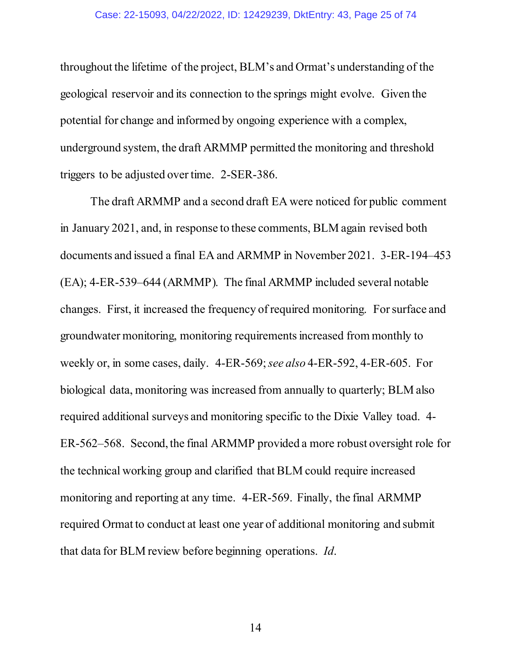throughout the lifetime of the project, BLM's and Ormat's understanding of the geological reservoir and its connection to the springs might evolve. Given the potential for change and informed by ongoing experience with a complex, underground system, the draft ARMMP permitted the monitoring and threshold triggers to be adjusted over time. 2-SER-386.

The draft ARMMP and a second draft EA were noticed for public comment in January 2021, and, in response to these comments, BLM again revised both documents and issued a final EA and ARMMP in November 2021. 3-ER-194–453 (EA); 4-ER-539–644 (ARMMP). The final ARMMP included several notable changes. First, it increased the frequency of required monitoring. For surface and groundwater monitoring, monitoring requirements increased from monthly to weekly or, in some cases, daily. 4-ER-569; *see also* 4-ER-592, 4-ER-605. For biological data, monitoring was increased from annually to quarterly; BLM also required additional surveys and monitoring specific to the Dixie Valley toad. 4- ER-562–568. Second, the final ARMMP provided a more robust oversight role for the technical working group and clarified that BLM could require increased monitoring and reporting at any time. 4-ER-569. Finally, the final ARMMP required Ormat to conduct at least one year of additional monitoring and submit that data for BLM review before beginning operations. *Id*.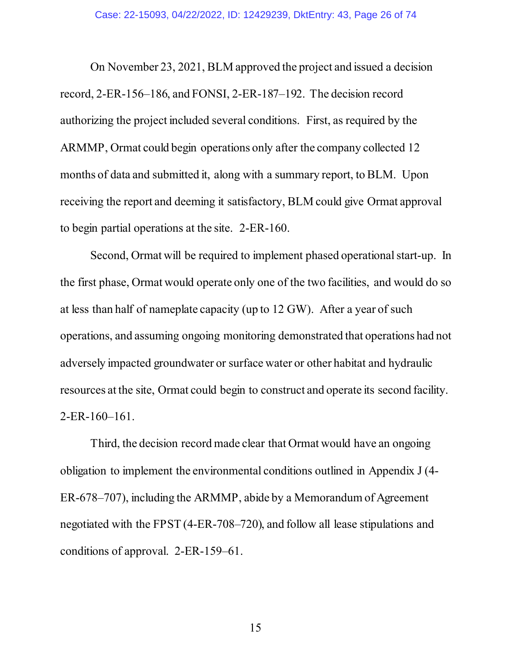On November 23, 2021, BLM approved the project and issued a decision record, 2-ER-156–186, and FONSI, 2-ER-187–192. The decision record authorizing the project included several conditions. First, as required by the ARMMP, Ormat could begin operations only after the company collected 12 months of data and submitted it, along with a summary report, to BLM. Upon receiving the report and deeming it satisfactory, BLM could give Ormat approval to begin partial operations at the site. 2-ER-160.

Second, Ormat will be required to implement phased operational start-up. In the first phase, Ormat would operate only one of the two facilities, and would do so at less than half of nameplate capacity (up to 12 GW). After a year of such operations, and assuming ongoing monitoring demonstrated that operations had not adversely impacted groundwater or surface water or other habitat and hydraulic resources at the site, Ormat could begin to construct and operate its second facility. 2-ER-160–161.

Third, the decision record made clear that Ormat would have an ongoing obligation to implement the environmental conditions outlined in Appendix J (4- ER-678–707), including the ARMMP, abide by a Memorandum of Agreement negotiated with the FPST (4-ER-708–720), and follow all lease stipulations and conditions of approval. 2-ER-159–61.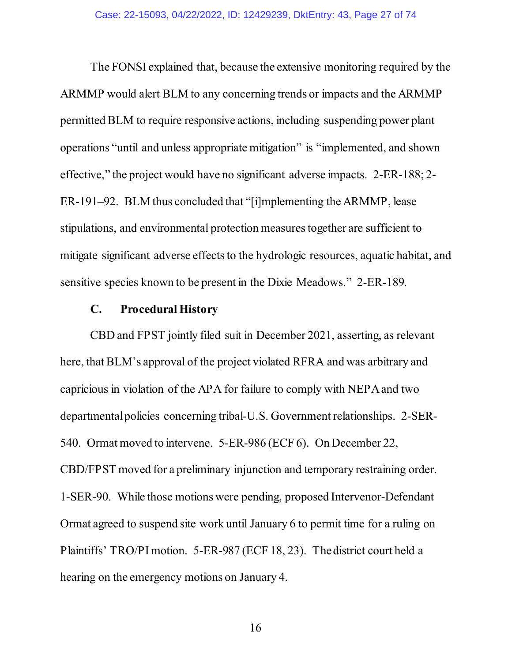The FONSI explained that, because the extensive monitoring required by the ARMMP would alert BLM to any concerning trends or impacts and the ARMMP permitted BLM to require responsive actions, including suspending power plant operations "until and unless appropriate mitigation" is "implemented, and shown effective," the project would have no significant adverse impacts. 2-ER-188; 2- ER-191–92. BLM thus concluded that "[i]mplementing the ARMMP, lease stipulations, and environmental protection measures together are sufficient to mitigate significant adverse effects to the hydrologic resources, aquatic habitat, and sensitive species known to be present in the Dixie Meadows." 2-ER-189.

## **C. Procedural History**

<span id="page-26-0"></span>CBD and FPST jointly filed suit in December 2021, asserting, as relevant here, that BLM's approval of the project violated RFRA and was arbitrary and capricious in violation of the APA for failure to comply with NEPAand two departmental policies concerning tribal-U.S. Government relationships. 2-SER-540. Ormat moved to intervene. 5-ER-986 (ECF 6). On December 22, CBD/FPST moved for a preliminary injunction and temporary restraining order. 1-SER-90. While those motions were pending, proposed Intervenor-Defendant Ormat agreed to suspend site work until January 6 to permit time for a ruling on Plaintiffs' TRO/PI motion. 5-ER-987 (ECF 18, 23). The district court held a hearing on the emergency motions on January 4.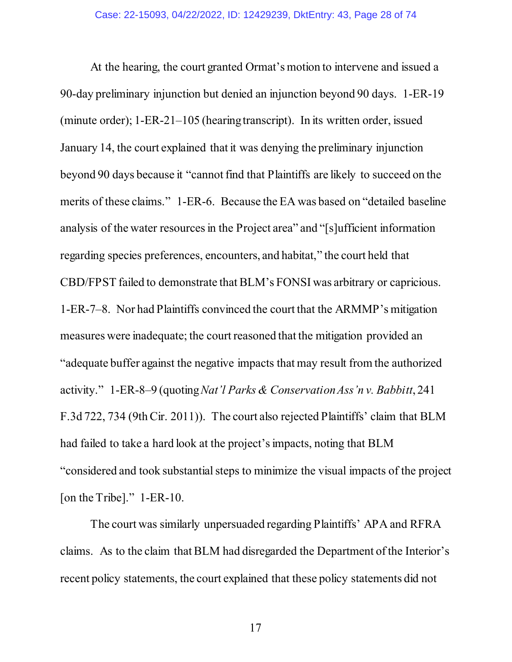At the hearing, the court granted Ormat's motion to intervene and issued a 90-day preliminary injunction but denied an injunction beyond 90 days. 1-ER-19 (minute order); 1-ER-21–105 (hearing transcript). In its written order, issued January 14, the court explained that it was denying the preliminary injunction beyond 90 days because it "cannot find that Plaintiffs are likely to succeed on the merits of these claims." 1-ER-6. Because the EA was based on "detailed baseline analysis of the water resources in the Project area" and "[s]ufficient information regarding species preferences, encounters, and habitat," the court held that CBD/FPST failed to demonstrate that BLM's FONSI was arbitrary or capricious. 1-ER-7–8. Nor had Plaintiffs convinced the court that the ARMMP's mitigation measures were inadequate; the court reasoned that the mitigation provided an "adequate buffer against the negative impacts that may result from the authorized activity." 1-ER-8–9 (quoting *Nat'l Parks & Conservation Ass'n v. Babbitt*, 241 F.3d 722, 734 (9th Cir. 2011)). The court also rejected Plaintiffs' claim that BLM had failed to take a hard look at the project's impacts, noting that BLM "considered and took substantial steps to minimize the visual impacts of the project [on the Tribe]." 1-ER-10.

The court was similarly unpersuaded regarding Plaintiffs' APA and RFRA claims. As to the claim that BLM had disregarded the Department of the Interior's recent policy statements, the court explained that these policy statements did not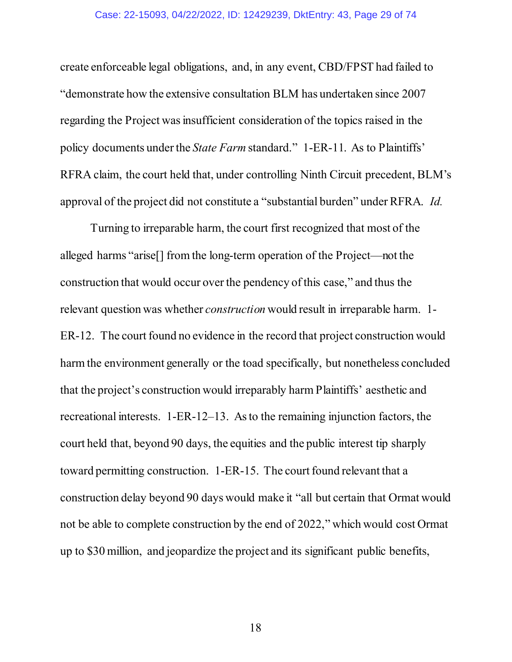#### Case: 22-15093, 04/22/2022, ID: 12429239, DktEntry: 43, Page 29 of 74

create enforceable legal obligations, and, in any event, CBD/FPST had failed to "demonstrate how the extensive consultation BLM has undertaken since 2007 regarding the Project was insufficient consideration of the topics raised in the policy documents under the *State Farm* standard." 1-ER-11. As to Plaintiffs' RFRA claim, the court held that, under controlling Ninth Circuit precedent, BLM's approval of the project did not constitute a "substantial burden" under RFRA. *Id.*

Turning to irreparable harm, the court first recognized that most of the alleged harms "arise[] from the long-term operation of the Project—not the construction that would occur over the pendency of this case," and thus the relevant question was whether *construction* would result in irreparable harm. 1- ER-12. The court found no evidence in the record that project construction would harm the environment generally or the toad specifically, but nonetheless concluded that the project's construction would irreparably harm Plaintiffs' aesthetic and recreational interests. 1-ER-12–13. As to the remaining injunction factors, the court held that, beyond 90 days, the equities and the public interest tip sharply toward permitting construction. 1-ER-15. The court found relevant that a construction delay beyond 90 days would make it "all but certain that Ormat would not be able to complete construction by the end of 2022," which would cost Ormat up to \$30 million, and jeopardize the project and its significant public benefits,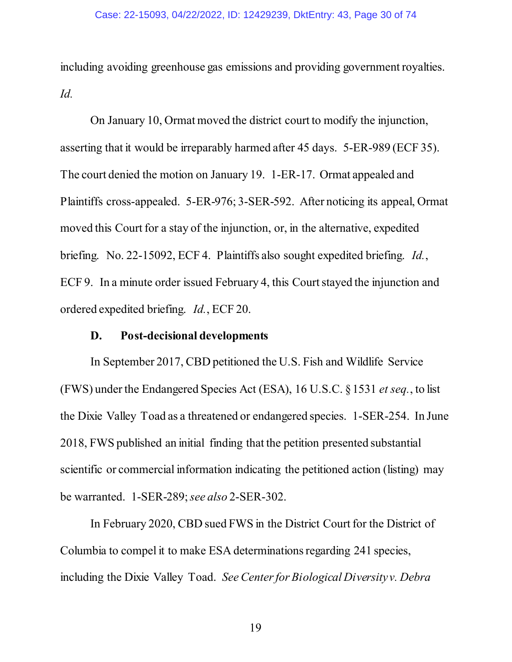including avoiding greenhouse gas emissions and providing government royalties. *Id.*

On January 10, Ormat moved the district court to modify the injunction, asserting that it would be irreparably harmed after 45 days. 5-ER-989 (ECF 35). The court denied the motion on January 19. 1-ER-17. Ormat appealed and Plaintiffs cross-appealed. 5-ER-976; 3-SER-592. After noticing its appeal, Ormat moved this Court for a stay of the injunction, or, in the alternative, expedited briefing. No. 22-15092, ECF 4. Plaintiffs also sought expedited briefing. *Id.*, ECF 9. In a minute order issued February 4, this Court stayed the injunction and ordered expedited briefing. *Id.*, ECF 20.

## **D. Post-decisional developments**

<span id="page-29-0"></span>In September 2017, CBD petitioned the U.S. Fish and Wildlife Service (FWS) under the Endangered Species Act (ESA), 16 U.S.C. § 1531 *et seq.*, to list the Dixie Valley Toad as a threatened or endangered species. 1-SER-254. In June 2018, FWS published an initial finding that the petition presented substantial scientific or commercial information indicating the petitioned action (listing) may be warranted. 1-SER-289; *see also* 2-SER-302.

In February 2020, CBD sued FWS in the District Court for the District of Columbia to compel it to make ESA determinations regarding 241 species, including the Dixie Valley Toad. *See Center for Biological Diversity v. Debra*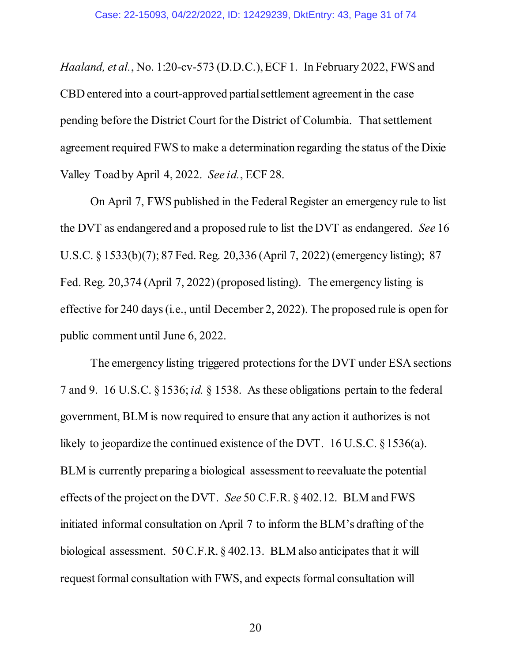*Haaland, et al.*, No. 1:20-cv-573 (D.D.C.), ECF 1. In February 2022, FWS and CBD entered into a court-approved partial settlement agreement in the case pending before the District Court for the District of Columbia. That settlement agreement required FWS to make a determination regarding the status of the Dixie Valley Toad by April 4, 2022. *See id.*, ECF 28.

On April 7, FWS published in the Federal Register an emergency rule to list the DVT as endangered and a proposed rule to list the DVT as endangered. *See* 16 U.S.C. § 1533(b)(7); 87 Fed. Reg. 20,336 (April 7, 2022) (emergency listing); 87 Fed. Reg. 20,374 (April 7, 2022) (proposed listing). The emergency listing is effective for 240 days (i.e., until December 2, 2022). The proposed rule is open for public comment until June 6, 2022.

The emergency listing triggered protections for the DVT under ESA sections 7 and 9. 16 U.S.C. § 1536; *id.* § 1538. As these obligations pertain to the federal government, BLM is now required to ensure that any action it authorizes is not likely to jeopardize the continued existence of the DVT. 16 U.S.C. § 1536(a). BLM is currently preparing a biological assessment to reevaluate the potential effects of the project on the DVT. *See* 50 C.F.R. § 402.12. BLM and FWS initiated informal consultation on April 7 to inform the BLM's drafting of the biological assessment. 50 C.F.R. § 402.13. BLM also anticipates that it will request formal consultation with FWS, and expects formal consultation will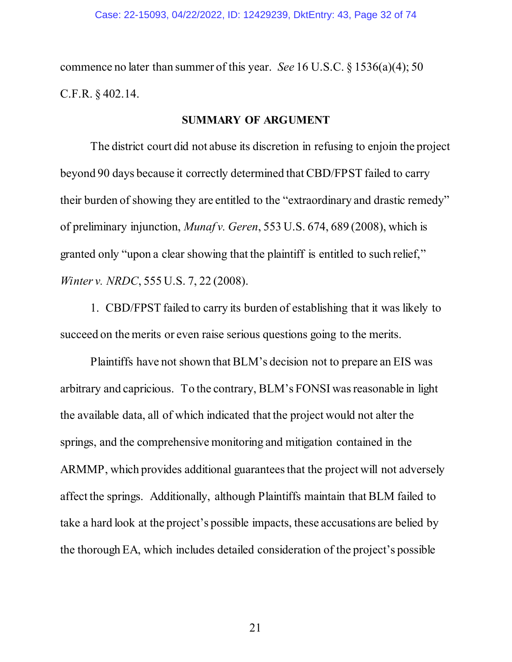commence no later than summer of this year. *See* 16 U.S.C. § 1536(a)(4); 50 C.F.R. § 402.14.

#### **SUMMARY OF ARGUMENT**

<span id="page-31-0"></span>The district court did not abuse its discretion in refusing to enjoin the project beyond 90 days because it correctly determined that CBD/FPST failed to carry their burden of showing they are entitled to the "extraordinary and drastic remedy" of preliminary injunction, *Munaf v. Geren*, 553 U.S. 674, 689 (2008), which is granted only "upon a clear showing that the plaintiff is entitled to such relief," *Winter v. NRDC*, 555 U.S. 7, 22 (2008).

1. CBD/FPST failed to carry its burden of establishing that it was likely to succeed on the merits or even raise serious questions going to the merits.

Plaintiffs have not shown thatBLM's decision not to prepare an EIS was arbitrary and capricious. To the contrary, BLM's FONSI was reasonable in light the available data, all of which indicated that the project would not alter the springs, and the comprehensive monitoring and mitigation contained in the ARMMP, which provides additional guarantees that the project will not adversely affect the springs. Additionally, although Plaintiffs maintain that BLM failed to take a hard look at the project's possible impacts, these accusations are belied by the thorough EA, which includes detailed consideration of the project's possible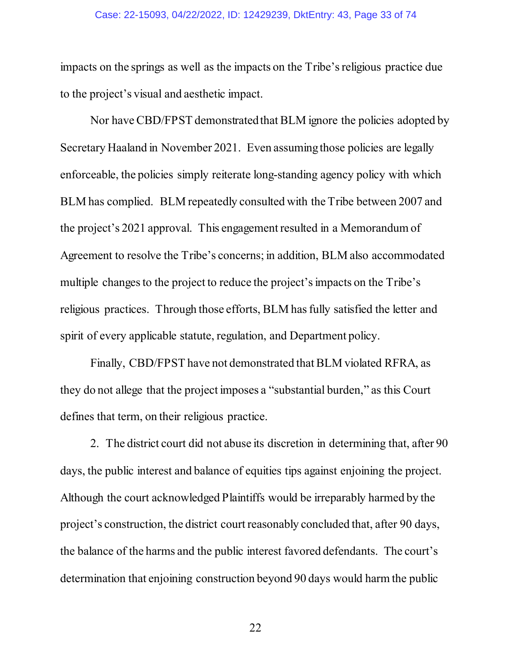#### Case: 22-15093, 04/22/2022, ID: 12429239, DktEntry: 43, Page 33 of 74

impacts on the springs as well as the impacts on the Tribe's religious practice due to the project's visual and aesthetic impact.

Nor have CBD/FPST demonstrated that BLM ignore the policies adopted by Secretary Haaland in November 2021. Even assuming those policies are legally enforceable, the policies simply reiterate long-standing agency policy with which BLM has complied. BLM repeatedly consulted with the Tribe between 2007 and the project's 2021 approval. This engagement resulted in a Memorandum of Agreement to resolve the Tribe's concerns; in addition, BLM also accommodated multiple changes to the project to reduce the project's impacts on the Tribe's religious practices. Through those efforts, BLM has fully satisfied the letter and spirit of every applicable statute, regulation, and Department policy.

Finally, CBD/FPST have not demonstrated that BLM violated RFRA, as they do not allege that the project imposes a "substantial burden," as this Court defines that term, on their religious practice.

2. The district court did not abuse its discretion in determining that, after 90 days, the public interest and balance of equities tips against enjoining the project. Although the court acknowledged Plaintiffs would be irreparably harmed by the project's construction, the district court reasonably concluded that, after 90 days, the balance of the harms and the public interest favored defendants. The court's determination that enjoining construction beyond 90 days would harm the public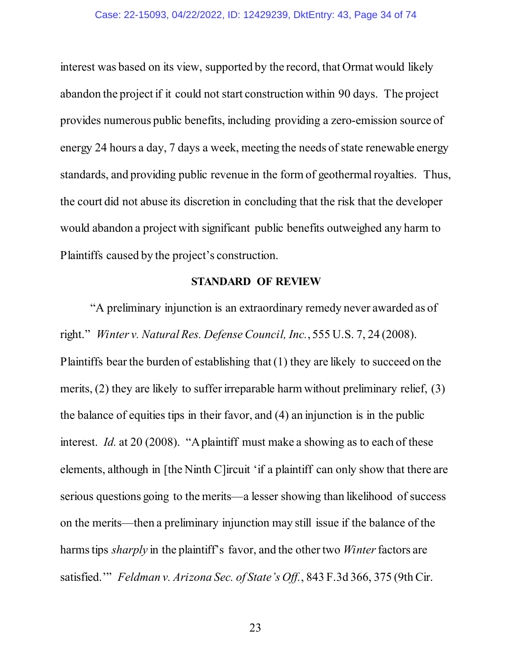#### Case: 22-15093, 04/22/2022, ID: 12429239, DktEntry: 43, Page 34 of 74

interest was based on its view, supported by the record, that Ormat would likely abandon the project if it could not start construction within 90 days. The project provides numerous public benefits, including providing a zero-emission source of energy 24 hours a day, 7 days a week, meeting the needs of state renewable energy standards, and providing public revenue in the form of geothermal royalties. Thus, the court did not abuse its discretion in concluding that the risk that the developer would abandon a project with significant public benefits outweighed any harm to Plaintiffs caused by the project's construction.

#### **STANDARD OF REVIEW**

<span id="page-33-0"></span>"A preliminary injunction is an extraordinary remedy never awarded as of right." *Winter v. Natural Res. Defense Council, Inc.*, 555 U.S. 7, 24 (2008). Plaintiffs bear the burden of establishing that (1) they are likely to succeed on the merits, (2) they are likely to suffer irreparable harm without preliminary relief, (3) the balance of equities tips in their favor, and (4) an injunction is in the public interest. *Id.* at 20 (2008). "A plaintiff must make a showing as to each of these elements, although in [the Ninth C]ircuit 'if a plaintiff can only show that there are serious questions going to the merits—a lesser showing than likelihood of success on the merits—then a preliminary injunction may still issue if the balance of the harms tips *sharply* in the plaintiff's favor, and the other two *Winter* factors are satisfied.'" *Feldman v. Arizona Sec. of State's Off.*, 843 F.3d 366, 375 (9th Cir.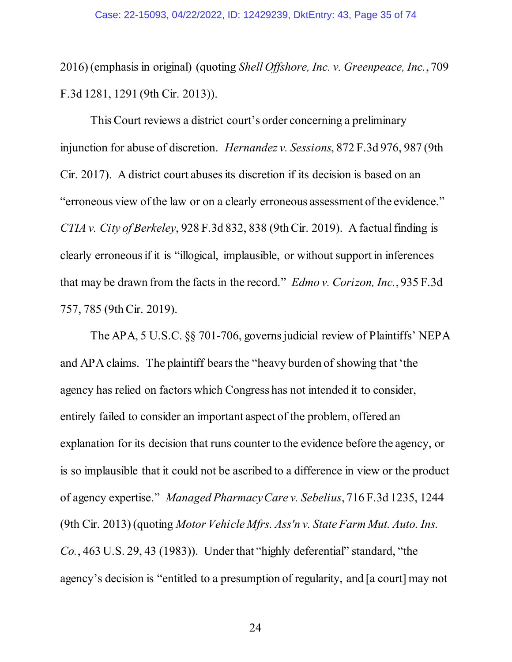2016) (emphasis in original) (quoting *Shell Offshore, Inc. v. Greenpeace, Inc.*, 709 F.3d 1281, 1291 (9th Cir. 2013)).

This Court reviews a district court's order concerning a preliminary injunction for abuse of discretion. *Hernandez v. Sessions*, 872 F.3d 976, 987 (9th Cir. 2017). A district court abuses its discretion if its decision is based on an "erroneous view of the law or on a clearly erroneous assessment of the evidence." *CTIA v. City of Berkeley*, 928 F.3d 832, 838 (9th Cir. 2019). A factual finding is clearly erroneous if it is "illogical, implausible, or without support in inferences that may be drawn from the facts in the record." *Edmo v. Corizon, Inc.*, 935 F.3d 757, 785 (9th Cir. 2019).

The APA, 5 U.S.C. §§ 701-706, governs judicial review of Plaintiffs' NEPA and APA claims. The plaintiff bears the "heavy burden of showing that 'the agency has relied on factors which Congress has not intended it to consider, entirely failed to consider an important aspect of the problem, offered an explanation for its decision that runs counter to the evidence before the agency, or is so implausible that it could not be ascribed to a difference in view or the product of agency expertise." *Managed Pharmacy Care v. Sebelius*, 716 F.3d 1235, 1244 (9th Cir. 2013) (quoting *Motor Vehicle Mfrs. Ass'n v. State Farm Mut. Auto. Ins. Co.*, 463 U.S. 29, 43 (1983)). Under that "highly deferential" standard, "the agency's decision is "entitled to a presumption of regularity, and [a court] may not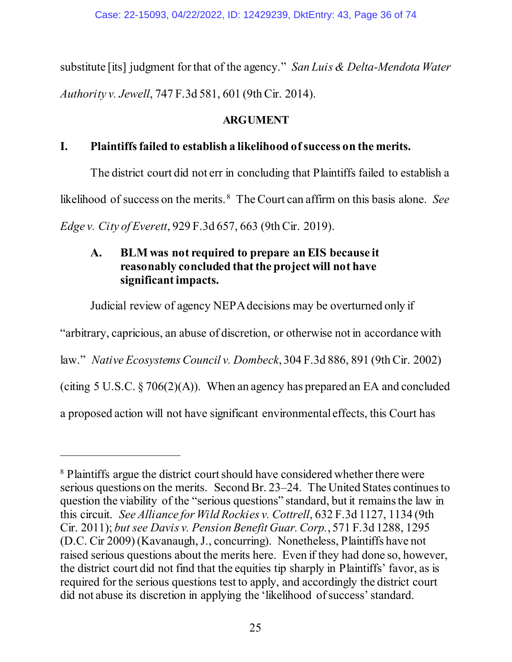substitute [its] judgment for that of the agency." *San Luis & Delta-Mendota Water Authority v. Jewell*, 747 F.3d 581, 601 (9th Cir. 2014).

## **ARGUMENT**

## <span id="page-35-1"></span><span id="page-35-0"></span>**I. Plaintiffs failed to establish a likelihood of success on the merits.**

The district court did not err in concluding that Plaintiffs failed to establish a

likelihood of success on the merits. [8](#page-35-3) The Court can affirm on this basis alone. *See* 

<span id="page-35-2"></span>*Edge v. City of Everett*, 929 F.3d 657, 663 (9th Cir. 2019).

 $\overline{a}$ 

## **A. BLM was not required to prepare an EIS because it reasonably concluded that the project will not have significant impacts.**

Judicial review of agency NEPA decisions may be overturned only if

"arbitrary, capricious, an abuse of discretion, or otherwise not in accordance with

law." *Native Ecosystems Council v. Dombeck*, 304 F.3d 886, 891 (9th Cir. 2002)

(citing 5 U.S.C.  $\S 706(2)(A)$ ). When an agency has prepared an EA and concluded

a proposed action will not have significant environmental effects, this Court has

<span id="page-35-3"></span><sup>8</sup> Plaintiffs argue the district court should have considered whether there were serious questions on the merits. Second Br. 23–24. The United States continues to question the viability of the "serious questions" standard, but it remains the law in this circuit. *See Alliance for Wild Rockies v. Cottrell*, 632 F.3d 1127, 1134 (9th Cir. 2011); *but see Davis v. Pension Benefit Guar. Corp.*, 571 F.3d 1288, 1295 (D.C. Cir 2009) (Kavanaugh, J., concurring). Nonetheless, Plaintiffs have not raised serious questions about the merits here. Even if they had done so, however, the district court did not find that the equities tip sharply in Plaintiffs' favor, as is required for the serious questions test to apply, and accordingly the district court did not abuse its discretion in applying the 'likelihood of success' standard.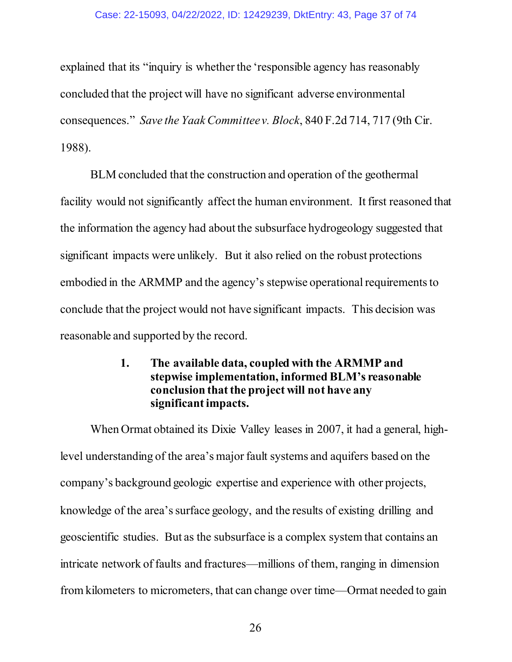#### Case: 22-15093, 04/22/2022, ID: 12429239, DktEntry: 43, Page 37 of 74

explained that its "inquiry is whether the 'responsible agency has reasonably concluded that the project will have no significant adverse environmental consequences." *Save the Yaak Committee v. Block*, 840 F.2d 714, 717 (9th Cir. 1988).

BLM concluded that the construction and operation of the geothermal facility would not significantly affect the human environment. It first reasoned that the information the agency had about the subsurface hydrogeology suggested that significant impacts were unlikely. But it also relied on the robust protections embodied in the ARMMP and the agency's stepwise operational requirements to conclude that the project would not have significant impacts. This decision was reasonable and supported by the record.

# **1. The available data, coupled with the ARMMP and stepwise implementation, informed BLM's reasonable conclusion that the project will not have any significant impacts.**

When Ormat obtained its Dixie Valley leases in 2007, it had a general, highlevel understanding of the area's major fault systems and aquifers based on the company's background geologic expertise and experience with other projects, knowledge of the area's surface geology, and the results of existing drilling and geoscientific studies. But as the subsurface is a complex system that contains an intricate network of faults and fractures—millions of them, ranging in dimension from kilometers to micrometers, that can change over time—Ormat needed to gain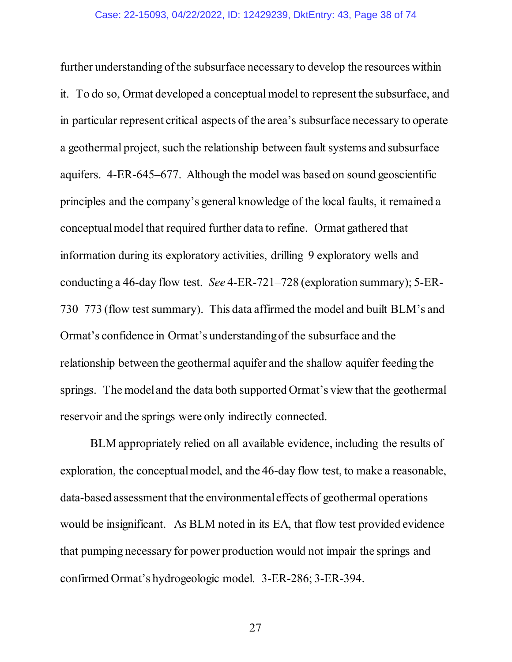further understanding of the subsurface necessary to develop the resources within it. To do so, Ormat developed a conceptual model to represent the subsurface, and in particular represent critical aspects of the area's subsurface necessary to operate a geothermal project, such the relationship between fault systems and subsurface aquifers. 4-ER-645–677. Although the model was based on sound geoscientific principles and the company's general knowledge of the local faults, it remained a conceptualmodel that required further data to refine. Ormat gathered that information during its exploratory activities, drilling 9 exploratory wells and conducting a 46-day flow test. *See* 4-ER-721–728 (exploration summary); 5-ER-730–773 (flow test summary). This data affirmed the model and built BLM's and Ormat's confidence in Ormat's understanding of the subsurface and the relationship between the geothermal aquifer and the shallow aquifer feeding the springs. The model and the data both supported Ormat's view that the geothermal reservoir and the springs were only indirectly connected.

BLM appropriately relied on all available evidence, including the results of exploration, the conceptual model, and the 46-day flow test, to make a reasonable, data-based assessment that the environmental effects of geothermal operations would be insignificant. As BLM noted in its EA, that flow test provided evidence that pumping necessary for power production would not impair the springs and confirmed Ormat's hydrogeologic model. 3-ER-286; 3-ER-394.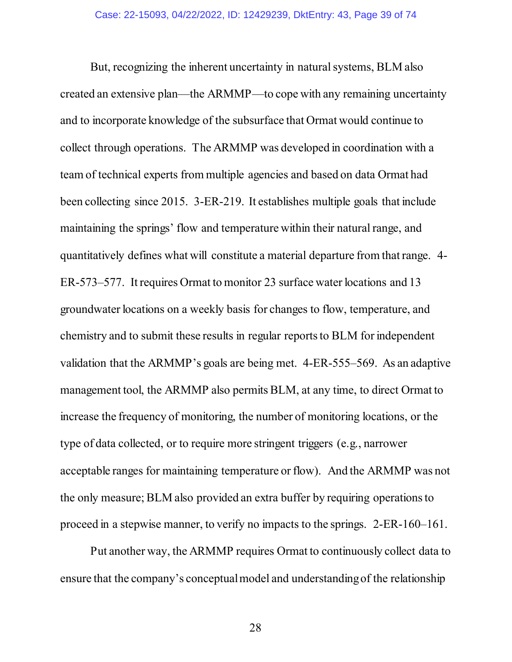But, recognizing the inherent uncertainty in natural systems, BLM also created an extensive plan—the ARMMP—to cope with any remaining uncertainty and to incorporate knowledge of the subsurface that Ormat would continue to collect through operations. The ARMMP was developed in coordination with a team of technical experts from multiple agencies and based on data Ormat had been collecting since 2015. 3-ER-219. It establishes multiple goals that include maintaining the springs' flow and temperature within their natural range, and quantitatively defines what will constitute a material departure from that range. 4- ER-573–577. It requires Ormat to monitor 23 surface water locations and 13 groundwater locations on a weekly basis for changes to flow, temperature, and chemistry and to submit these results in regular reports to BLM for independent validation that the ARMMP's goals are being met. 4-ER-555–569. As an adaptive management tool, the ARMMP also permits BLM, at any time, to direct Ormat to increase the frequency of monitoring, the number of monitoring locations, or the type of data collected, or to require more stringent triggers (e.g., narrower acceptable ranges for maintaining temperature or flow). And the ARMMP was not the only measure; BLM also provided an extra buffer by requiring operations to proceed in a stepwise manner, to verify no impacts to the springs. 2-ER-160–161.

Put another way, the ARMMP requires Ormat to continuously collect data to ensure that the company's conceptual model and understanding of the relationship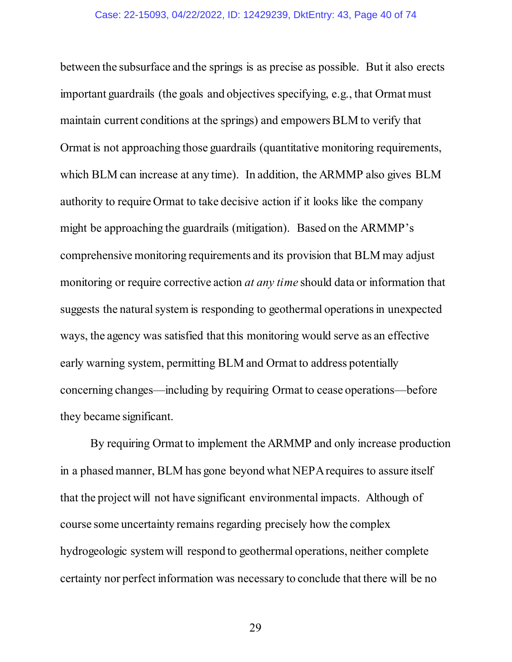between the subsurface and the springs is as precise as possible. But it also erects important guardrails (the goals and objectives specifying, e.g., that Ormat must maintain current conditions at the springs) and empowers BLM to verify that Ormat is not approaching those guardrails (quantitative monitoring requirements, which BLM can increase at any time). In addition, the ARMMP also gives BLM authority to require Ormat to take decisive action if it looks like the company might be approaching the guardrails (mitigation). Based on the ARMMP's comprehensive monitoring requirements and its provision that BLM may adjust monitoring or require corrective action *at any time* should data or information that suggests the natural system is responding to geothermal operations in unexpected ways, the agency was satisfied that this monitoring would serve as an effective early warning system, permitting BLM and Ormat to address potentially concerning changes—including by requiring Ormat to cease operations—before they became significant.

By requiring Ormat to implement the ARMMP and only increase production in a phased manner, BLM has gone beyond what NEPA requires to assure itself that the project will not have significant environmental impacts. Although of course some uncertainty remains regarding precisely how the complex hydrogeologic system will respond to geothermal operations, neither complete certainty nor perfect information was necessary to conclude that there will be no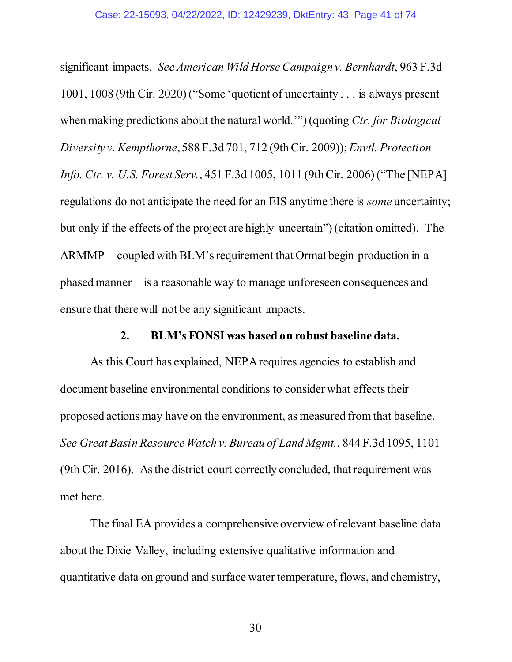significant impacts. *See American Wild Horse Campaign v. Bernhardt*, 963 F.3d 1001, 1008 (9th Cir. 2020) ("Some 'quotient of uncertainty . . . is always present when making predictions about the natural world.'") (quoting *Ctr. for Biological Diversity v. Kempthorne*, 588 F.3d 701, 712 (9th Cir. 2009)); *Envtl. Protection Info. Ctr. v. U.S. Forest Serv.*, 451 F.3d 1005, 1011 (9th Cir. 2006) ("The [NEPA] regulations do not anticipate the need for an EIS anytime there is *some* uncertainty; but only if the effects of the project are highly uncertain") (citation omitted). The ARMMP—coupled with BLM's requirement that Ormat begin production in a phased manner—is a reasonable way to manage unforeseen consequences and ensure that there will not be any significant impacts.

#### **2. BLM's FONSI was based on robust baseline data.**

As this Court has explained, NEPA requires agencies to establish and document baseline environmental conditions to consider what effects their proposed actions may have on the environment, as measured from that baseline. *See Great Basin Resource Watch v. Bureau of Land Mgmt.*, 844 F.3d 1095, 1101 (9th Cir. 2016). As the district court correctly concluded, that requirement was met here.

The final EA provides a comprehensive overview of relevant baseline data about the Dixie Valley, including extensive qualitative information and quantitative data on ground and surface water temperature, flows, and chemistry,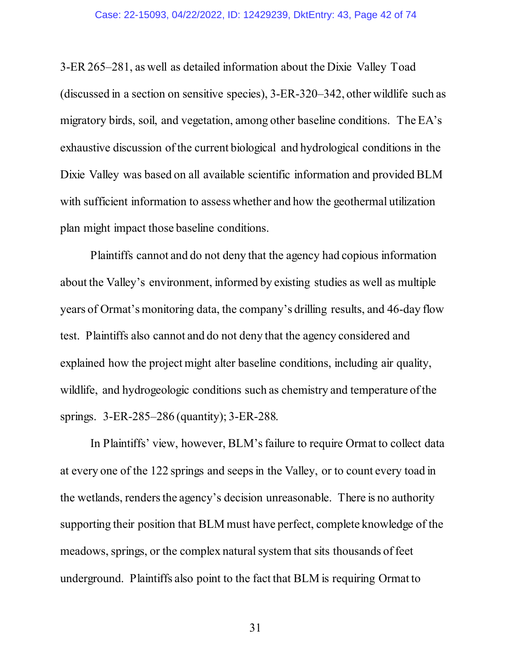3-ER 265–281, as well as detailed information about the Dixie Valley Toad (discussed in a section on sensitive species), 3-ER-320–342, other wildlife such as migratory birds, soil, and vegetation, among other baseline conditions. The EA's exhaustive discussion of the current biological and hydrological conditions in the Dixie Valley was based on all available scientific information and provided BLM with sufficient information to assess whether and how the geothermal utilization plan might impact those baseline conditions.

Plaintiffs cannot and do not deny that the agency had copious information about the Valley's environment, informed by existing studies as well as multiple years of Ormat's monitoring data, the company's drilling results, and 46-day flow test. Plaintiffs also cannot and do not deny that the agency considered and explained how the project might alter baseline conditions, including air quality, wildlife, and hydrogeologic conditions such as chemistry and temperature of the springs. 3-ER-285–286 (quantity); 3-ER-288.

In Plaintiffs' view, however, BLM's failure to require Ormat to collect data at every one of the 122 springs and seeps in the Valley, or to count every toad in the wetlands, renders the agency's decision unreasonable. There is no authority supporting their position that BLM must have perfect, complete knowledge of the meadows, springs, or the complex natural system that sits thousands of feet underground. Plaintiffs also point to the fact that BLM is requiring Ormat to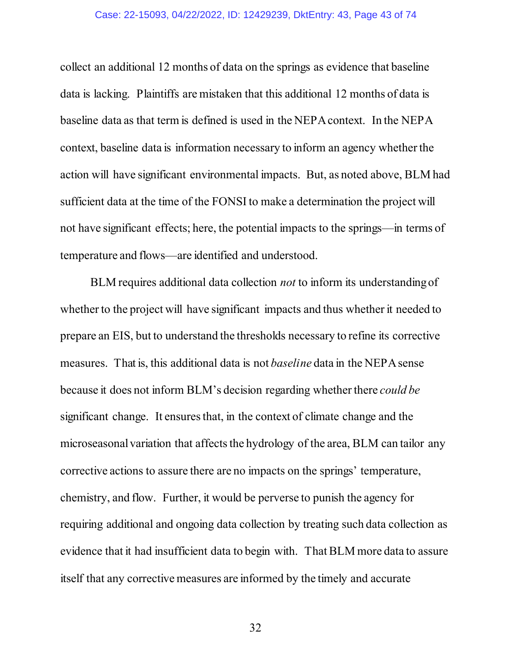collect an additional 12 months of data on the springs as evidence that baseline data is lacking. Plaintiffs are mistaken that this additional 12 months of data is baseline data as that term is defined is used in the NEPA context. In the NEPA context, baseline data is information necessary to inform an agency whether the action will have significant environmental impacts. But, as noted above, BLM had sufficient data at the time of the FONSI to make a determination the project will not have significant effects; here, the potential impacts to the springs—in terms of temperature and flows—are identified and understood.

BLM requires additional data collection *not* to inform its understanding of whether to the project will have significant impacts and thus whether it needed to prepare an EIS, but to understand the thresholds necessary to refine its corrective measures. That is, this additional data is not *baseline* data in the NEPA sense because it does not inform BLM's decision regarding whether there *could be*  significant change. It ensures that, in the context of climate change and the microseasonal variation that affects the hydrology of the area, BLM can tailor any corrective actions to assure there are no impacts on the springs' temperature, chemistry, and flow. Further, it would be perverse to punish the agency for requiring additional and ongoing data collection by treating such data collection as evidence that it had insufficient data to begin with. That BLM more data to assure itself that any corrective measures are informed by the timely and accurate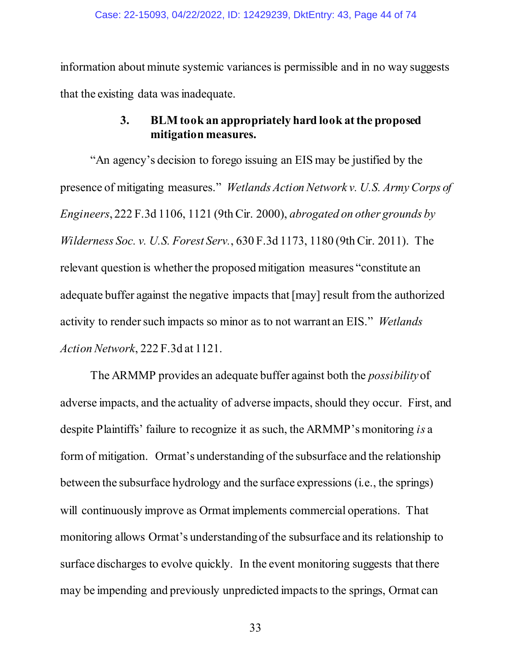information about minute systemic variances is permissible and in no way suggests that the existing data was inadequate.

# **3. BLM took an appropriately hard look at the proposed mitigation measures.**

"An agency's decision to forego issuing an EIS may be justified by the presence of mitigating measures." *Wetlands Action Network v. U.S. Army Corps of Engineers*, 222 F.3d 1106, 1121 (9th Cir. 2000), *abrogated on other grounds by Wilderness Soc. v. U.S. Forest Serv.*, 630 F.3d 1173, 1180 (9th Cir. 2011). The relevant question is whether the proposed mitigation measures "constitute an adequate buffer against the negative impacts that [may] result from the authorized activity to render such impacts so minor as to not warrant an EIS." *Wetlands Action Network*, 222 F.3d at 1121.

The ARMMP provides an adequate buffer against both the *possibility* of adverse impacts, and the actuality of adverse impacts, should they occur. First, and despite Plaintiffs' failure to recognize it as such, the ARMMP's monitoring *is* a form of mitigation. Ormat's understanding of the subsurface and the relationship between the subsurface hydrology and the surface expressions (i.e., the springs) will continuously improve as Ormat implements commercial operations. That monitoring allows Ormat's understanding of the subsurface and its relationship to surface discharges to evolve quickly. In the event monitoring suggests that there may be impending and previously unpredicted impacts to the springs, Ormat can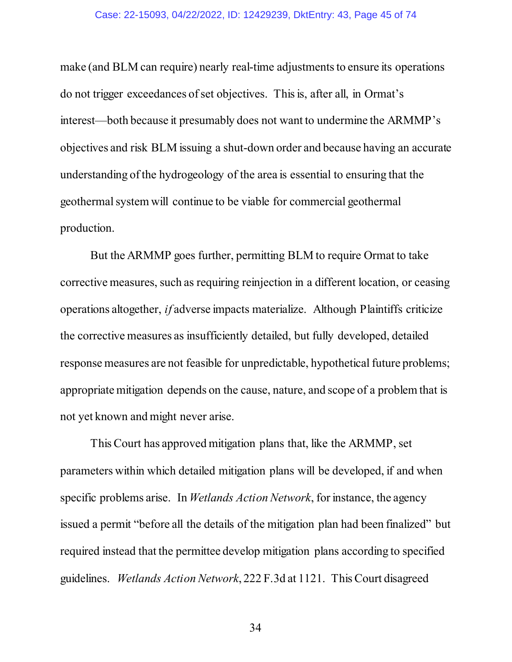#### Case: 22-15093, 04/22/2022, ID: 12429239, DktEntry: 43, Page 45 of 74

make (and BLM can require) nearly real-time adjustments to ensure its operations do not trigger exceedances of set objectives. This is, after all, in Ormat's interest—both because it presumably does not want to undermine the ARMMP's objectives and risk BLM issuing a shut-down order and because having an accurate understanding of the hydrogeology of the area is essential to ensuring that the geothermal system will continue to be viable for commercial geothermal production.

But the ARMMP goes further, permitting BLM to require Ormat to take corrective measures, such as requiring reinjection in a different location, or ceasing operations altogether, *if* adverse impacts materialize. Although Plaintiffs criticize the corrective measures as insufficiently detailed, but fully developed, detailed response measures are not feasible for unpredictable, hypothetical future problems; appropriate mitigation depends on the cause, nature, and scope of a problem that is not yet known and might never arise.

This Court has approved mitigation plans that, like the ARMMP, set parameters within which detailed mitigation plans will be developed, if and when specific problems arise. In *Wetlands Action Network*, for instance, the agency issued a permit "before all the details of the mitigation plan had been finalized" but required instead that the permittee develop mitigation plans according to specified guidelines. *Wetlands Action Network*, 222 F.3d at 1121. This Court disagreed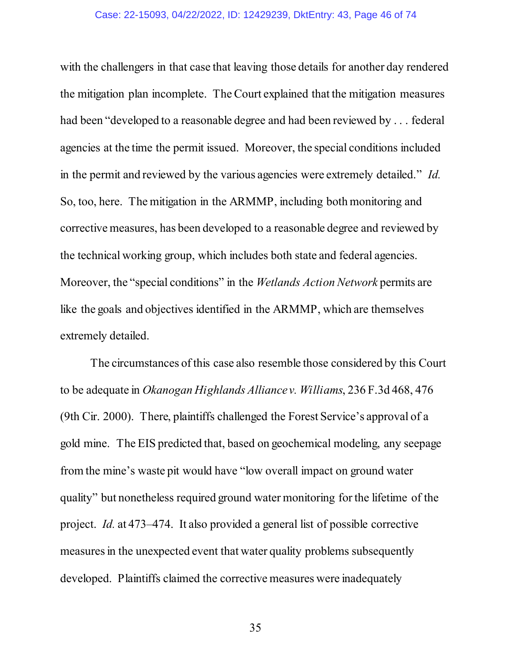#### Case: 22-15093, 04/22/2022, ID: 12429239, DktEntry: 43, Page 46 of 74

with the challengers in that case that leaving those details for another day rendered the mitigation plan incomplete. The Court explained that the mitigation measures had been "developed to a reasonable degree and had been reviewed by . . . federal agencies at the time the permit issued. Moreover, the special conditions included in the permit and reviewed by the various agencies were extremely detailed." *Id.*  So, too, here. The mitigation in the ARMMP, including both monitoring and corrective measures, has been developed to a reasonable degree and reviewed by the technical working group, which includes both state and federal agencies. Moreover, the "special conditions" in the *Wetlands Action Network* permits are like the goals and objectives identified in the ARMMP, which are themselves extremely detailed.

The circumstances of this case also resemble those considered by this Court to be adequate in *Okanogan Highlands Alliance v. Williams*, 236 F.3d 468, 476 (9th Cir. 2000).There, plaintiffs challenged the Forest Service's approval of a gold mine. The EIS predicted that, based on geochemical modeling, any seepage from the mine's waste pit would have "low overall impact on ground water quality" but nonetheless required ground water monitoring for the lifetime of the project. *Id.* at 473–474. It also provided a general list of possible corrective measures in the unexpected event that water quality problems subsequently developed. Plaintiffs claimed the corrective measures were inadequately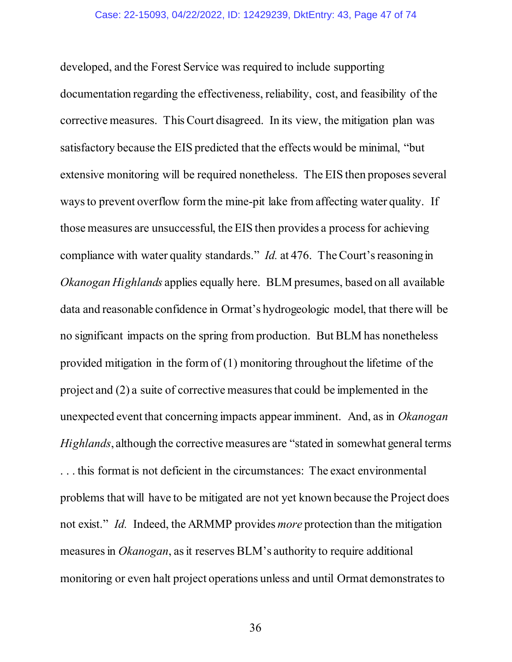developed, and the Forest Service was required to include supporting documentation regarding the effectiveness, reliability, cost, and feasibility of the corrective measures. This Court disagreed. In its view, the mitigation plan was satisfactory because the EIS predicted that the effects would be minimal, "but extensive monitoring will be required nonetheless. The EIS then proposes several ways to prevent overflow form the mine-pit lake from affecting water quality. If those measures are unsuccessful, the EIS then provides a process for achieving compliance with water quality standards." *Id.* at 476. The Court's reasoningin *Okanogan Highlands* applies equally here. BLM presumes, based on all available data and reasonable confidence in Ormat's hydrogeologic model, that there will be no significant impacts on the spring from production. But BLM has nonetheless provided mitigation in the form of  $(1)$  monitoring throughout the lifetime of the project and (2) a suite of corrective measures that could be implemented in the unexpected event that concerning impacts appear imminent. And, as in *Okanogan Highlands*, although the corrective measures are "stated in somewhat general terms . . . this format is not deficient in the circumstances: The exact environmental problems that will have to be mitigated are not yet known because the Project does not exist." *Id.* Indeed, the ARMMP provides *more* protection than the mitigation measures in *Okanogan*, as it reserves BLM's authority to require additional monitoring or even halt project operations unless and until Ormat demonstratesto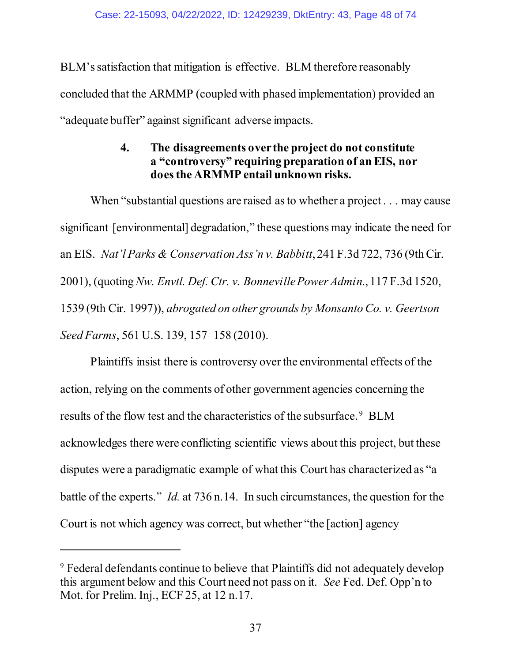BLM's satisfaction that mitigation is effective. BLM therefore reasonably concluded that the ARMMP (coupled with phased implementation) provided an "adequate buffer" against significant adverse impacts.

# **4. The disagreements over the project do not constitute a "controversy" requiring preparation of an EIS, nor does the ARMMP entail unknown risks.**

When "substantial questions are raised as to whether a project . . . may cause significant [environmental] degradation," these questions may indicate the need for an EIS. *Nat'l Parks & Conservation Ass'n v. Babbitt*, 241 F.3d 722, 736 (9th Cir. 2001), (quoting *Nw. Envtl. Def. Ctr. v. Bonneville Power Admin.*, 117 F.3d 1520, 1539 (9th Cir. 1997)), *abrogated on other grounds by Monsanto Co. v. Geertson Seed Farms*, 561 U.S. 139, 157–158 (2010).

Plaintiffs insist there is controversy over the environmental effects of the action, relying on the comments of other government agencies concerning the results of the flow test and the characteristics of the subsurface.<sup>[9](#page-47-0)</sup> BLM acknowledges there were conflicting scientific views about this project, but these disputes were a paradigmatic example of what this Court has characterized as "a battle of the experts." *Id.* at 736 n.14. In such circumstances, the question for the Court is not which agency was correct, but whether "the [action] agency

 $\overline{a}$ 

<span id="page-47-0"></span><sup>9</sup> Federal defendants continue to believe that Plaintiffs did not adequately develop this argument below and this Court need not pass on it. *See* Fed. Def. Opp'n to Mot. for Prelim. Inj., ECF 25, at 12 n.17.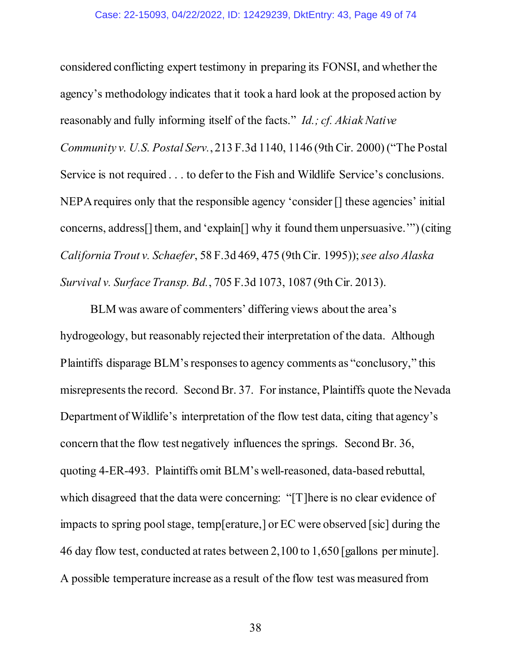considered conflicting expert testimony in preparing its FONSI, and whether the agency's methodology indicates that it took a hard look at the proposed action by reasonably and fully informing itself of the facts." *Id.; cf. Akiak Native Community v. U.S. Postal Serv.*, 213 F.3d 1140, 1146 (9th Cir. 2000) ("The Postal Service is not required . . . to defer to the Fish and Wildlife Service's conclusions. NEPA requires only that the responsible agency 'consider [] these agencies' initial concerns, address[] them, and 'explain[] why it found them unpersuasive.'") (citing *California Trout v. Schaefer*, 58 F.3d 469, 475 (9th Cir. 1995));*see also Alaska Survival v. Surface Transp. Bd.*, 705 F.3d 1073, 1087 (9th Cir. 2013).

BLM was aware of commenters' differing views about the area's hydrogeology, but reasonably rejected their interpretation of the data. Although Plaintiffs disparage BLM's responses to agency comments as "conclusory," this misrepresents the record. Second Br. 37. For instance, Plaintiffs quote the Nevada Department of Wildlife's interpretation of the flow test data, citing that agency's concern that the flow test negatively influences the springs. Second Br. 36, quoting 4-ER-493. Plaintiffs omit BLM's well-reasoned, data-based rebuttal, which disagreed that the data were concerning: "[T] here is no clear evidence of impacts to spring pool stage, temp[erature,] or EC were observed [sic] during the 46 day flow test, conducted at rates between 2,100 to 1,650 [gallons per minute]. A possible temperature increase as a result of the flow test was measured from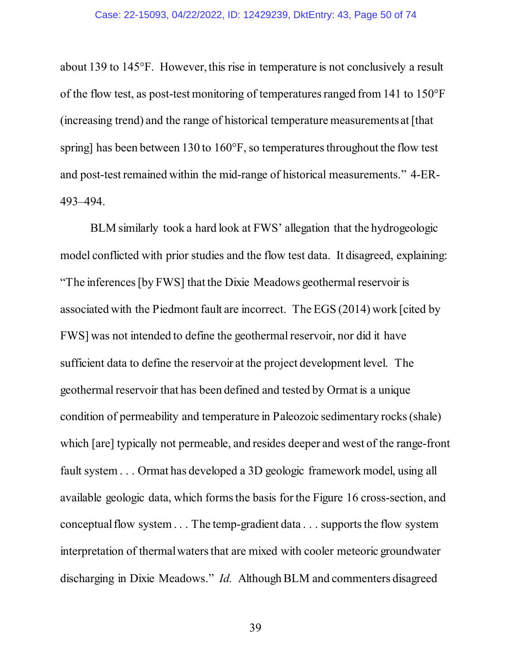about 139 to 145°F. However, this rise in temperature is not conclusively a result of the flow test, as post-test monitoring of temperatures ranged from 141 to 150°F (increasing trend) and the range of historical temperature measurements at [that spring] has been between 130 to 160°F, so temperatures throughout the flow test and post-test remained within the mid-range of historical measurements." 4-ER-493–494.

BLM similarly took a hard look at FWS' allegation that the hydrogeologic model conflicted with prior studies and the flow test data. It disagreed, explaining: "The inferences [by FWS] that the Dixie Meadows geothermal reservoir is associated with the Piedmont fault are incorrect. The EGS (2014) work [cited by FWS] was not intended to define the geothermal reservoir, nor did it have sufficient data to define the reservoir at the project development level. The geothermal reservoir that has been defined and tested by Ormat is a unique condition of permeability and temperature in Paleozoic sedimentary rocks (shale) which [are] typically not permeable, and resides deeper and west of the range-front fault system . . . Ormat has developed a 3D geologic framework model, using all available geologic data, which forms the basis for the Figure 16 cross-section, and conceptual flow system . . . The temp-gradient data . . . supports the flow system interpretation of thermal waters that are mixed with cooler meteoric groundwater discharging in Dixie Meadows." *Id.* Although BLM and commenters disagreed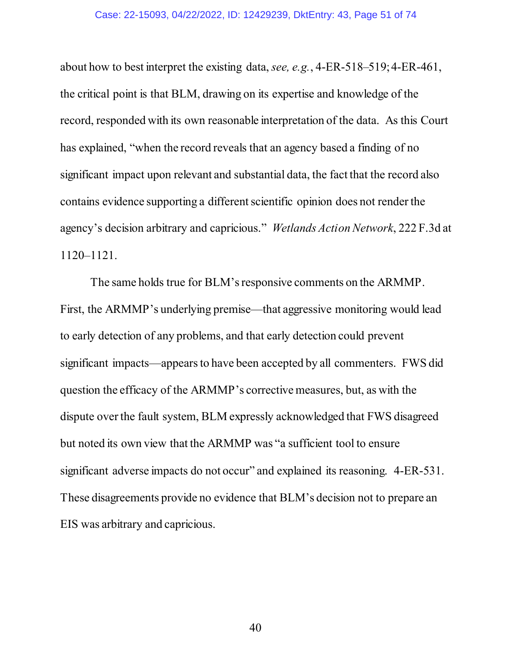about how to best interpret the existing data, *see, e.g.*, 4-ER-518–519; 4-ER-461, the critical point is that BLM, drawing on its expertise and knowledge of the record, responded with its own reasonable interpretation of the data. As this Court has explained, "when the record reveals that an agency based a finding of no significant impact upon relevant and substantial data, the fact that the record also contains evidence supporting a different scientific opinion does not render the agency's decision arbitrary and capricious." *Wetlands Action Network*, 222 F.3d at 1120–1121.

The same holds true for BLM's responsive comments on the ARMMP. First, the ARMMP's underlying premise—that aggressive monitoring would lead to early detection of any problems, and that early detection could prevent significant impacts—appears to have been accepted by all commenters. FWS did question the efficacy of the ARMMP's corrective measures, but, as with the dispute over the fault system, BLM expressly acknowledged that FWS disagreed but noted its own view that the ARMMP was "a sufficient tool to ensure significant adverse impacts do not occur" and explained its reasoning. 4-ER-531. These disagreements provide no evidence that BLM's decision not to prepare an EIS was arbitrary and capricious.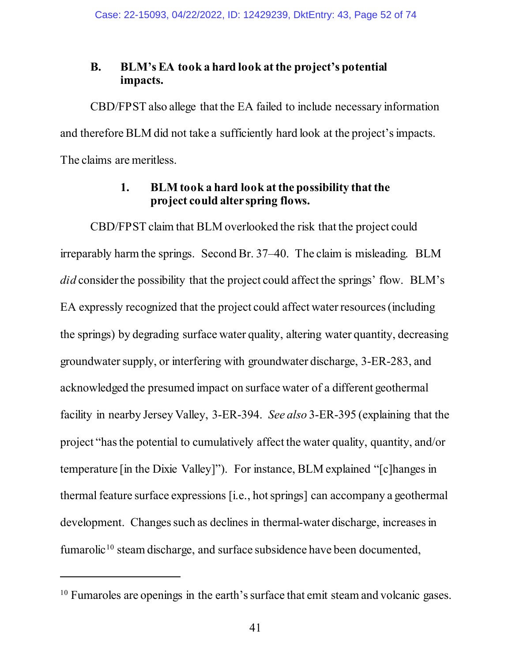## **B. BLM's EA took a hard look at the project's potential impacts.**

CBD/FPST also allege that the EA failed to include necessary information and therefore BLM did not take a sufficiently hard look at the project's impacts. The claims are meritless.

## **1. BLM took a hard look atthe possibility that the project could alter spring flows.**

CBD/FPST claim that BLM overlooked the risk that the project could irreparably harm the springs. Second Br. 37–40. The claim is misleading. BLM *did* consider the possibility that the project could affect the springs' flow. BLM's EA expressly recognized that the project could affect water resources (including the springs) by degrading surface water quality, altering water quantity, decreasing groundwater supply, or interfering with groundwater discharge, 3-ER-283, and acknowledged the presumed impact on surface water of a different geothermal facility in nearby Jersey Valley, 3-ER-394. *See also* 3-ER-395 (explaining that the project "has the potential to cumulatively affect the water quality, quantity, and/or temperature [in the Dixie Valley]"). For instance, BLM explained "[c]hanges in thermal feature surface expressions [i.e., hot springs] can accompany a geothermal development. Changes such as declines in thermal-water discharge, increases in fumarolic<sup>[10](#page-51-0)</sup> steam discharge, and surface subsidence have been documented,

 $\overline{a}$ 

<span id="page-51-0"></span><sup>&</sup>lt;sup>10</sup> Fumaroles are openings in the earth's surface that emit steam and volcanic gases.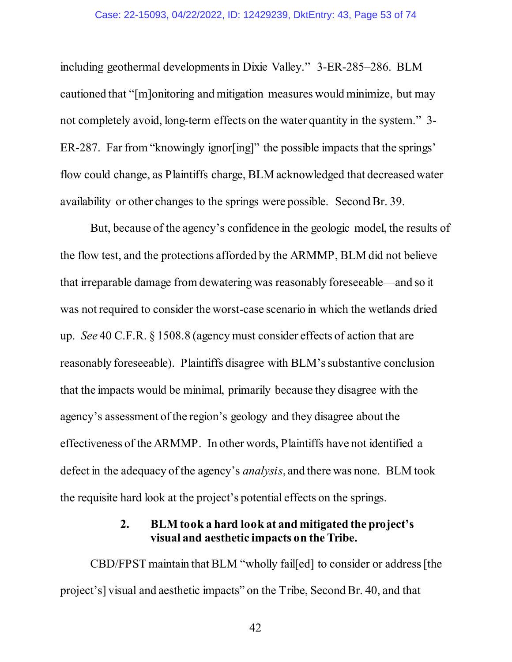#### Case: 22-15093, 04/22/2022, ID: 12429239, DktEntry: 43, Page 53 of 74

including geothermal developments in Dixie Valley." 3-ER-285–286. BLM cautioned that "[m]onitoring and mitigation measures would minimize, but may not completely avoid, long-term effects on the water quantity in the system." 3- ER-287. Far from "knowingly ignor[ing]" the possible impacts that the springs' flow could change, as Plaintiffs charge, BLM acknowledged that decreased water availability or other changes to the springs were possible. Second Br. 39.

But, because of the agency's confidence in the geologic model, the results of the flow test, and the protections afforded by the ARMMP, BLM did not believe that irreparable damage from dewatering was reasonably foreseeable—and so it was not required to consider the worst-case scenario in which the wetlands dried up. *See* 40 C.F.R. § 1508.8 (agency must consider effects of action that are reasonably foreseeable). Plaintiffs disagree with BLM's substantive conclusion that the impacts would be minimal, primarily because they disagree with the agency's assessment of the region's geology and they disagree about the effectiveness of the ARMMP. In other words, Plaintiffs have not identified a defect in the adequacy of the agency's *analysis*, and there was none. BLM took the requisite hard look at the project's potential effects on the springs.

# **2. BLM took a hard look at and mitigated the project's visual and aesthetic impacts on the Tribe.**

CBD/FPST maintain that BLM "wholly fail[ed] to consider or address [the project's] visual and aesthetic impacts" on the Tribe, Second Br. 40, and that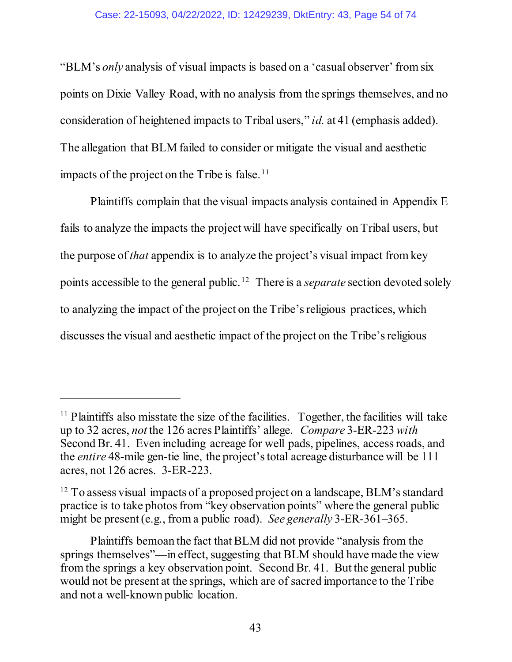#### Case: 22-15093, 04/22/2022, ID: 12429239, DktEntry: 43, Page 54 of 74

"BLM's *only* analysis of visual impacts is based on a 'casual observer' from six points on Dixie Valley Road, with no analysis from the springs themselves, and no consideration of heightened impacts to Tribal users," *id.* at 41 (emphasis added). The allegation that BLM failed to consider or mitigate the visual and aesthetic impacts of the project on the Tribe is false.  $\frac{11}{1}$  $\frac{11}{1}$  $\frac{11}{1}$ 

Plaintiffs complain that the visual impacts analysis contained in Appendix E fails to analyze the impacts the project will have specifically on Tribal users, but the purpose of *that* appendix is to analyze the project's visual impact from key points accessible to the general public. [12](#page-53-1) There is a *separate* section devoted solely to analyzing the impact of the project on the Tribe's religious practices, which discusses the visual and aesthetic impact of the project on the Tribe's religious

<span id="page-53-0"></span><sup>&</sup>lt;sup>11</sup> Plaintiffs also misstate the size of the facilities. Together, the facilities will take up to 32 acres, *not* the 126 acres Plaintiffs' allege. *Compare* 3-ER-223 *with*  Second Br. 41. Even including acreage for well pads, pipelines, access roads, and the *entire* 48-mile gen-tie line, the project's total acreage disturbance will be 111 acres, not 126 acres. 3-ER-223.

<span id="page-53-1"></span> $12$  To assess visual impacts of a proposed project on a landscape, BLM's standard practice is to take photos from "key observation points" where the general public might be present (e.g., from a public road). *See generally* 3-ER-361–365.

Plaintiffs bemoan the fact that BLM did not provide "analysis from the springs themselves"—in effect, suggesting that BLM should have made the view from the springs a key observation point. Second Br. 41. But the general public would not be present at the springs, which are of sacred importance to the Tribe and not a well-known public location.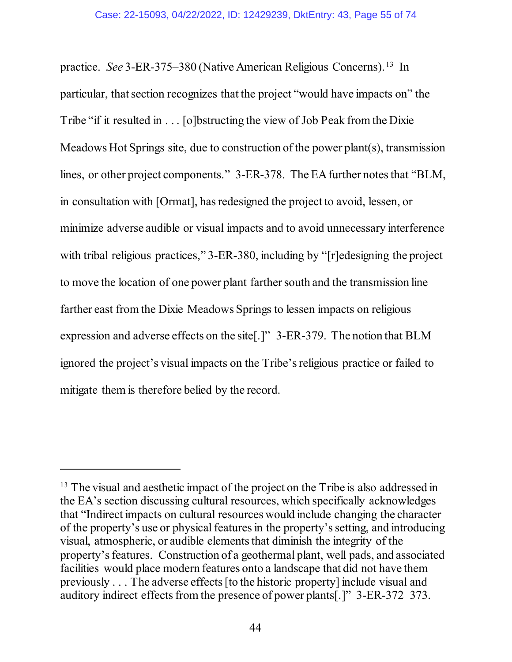practice. *See* 3-ER-375–380 (Native American Religious Concerns).<sup>[13](#page-54-0)</sup> In particular, that section recognizes that the project "would have impacts on" the Tribe "if it resulted in . . . [o]bstructing the view of Job Peak from the Dixie Meadows Hot Springs site, due to construction of the power plant(s), transmission lines, or other project components." 3-ER-378. The EA further notes that "BLM, in consultation with [Ormat], has redesigned the project to avoid, lessen, or minimize adverse audible or visual impacts and to avoid unnecessary interference with tribal religious practices," 3-ER-380, including by "[r]edesigning the project to move the location of one power plant farther south and the transmission line farther east from the Dixie Meadows Springs to lessen impacts on religious expression and adverse effects on the site[.]" 3-ER-379. The notion that BLM ignored the project's visual impacts on the Tribe's religious practice or failed to mitigate them is therefore belied by the record.

<span id="page-54-0"></span><sup>&</sup>lt;sup>13</sup> The visual and aesthetic impact of the project on the Tribe is also addressed in the EA's section discussing cultural resources, which specifically acknowledges that "Indirect impacts on cultural resources would include changing the character of the property's use or physical features in the property's setting, and introducing visual, atmospheric, or audible elements that diminish the integrity of the property's features. Construction of a geothermal plant, well pads, and associated facilities would place modern features onto a landscape that did not have them previously . . . The adverse effects [to the historic property] include visual and auditory indirect effects from the presence of power plants[.]" 3-ER-372–373.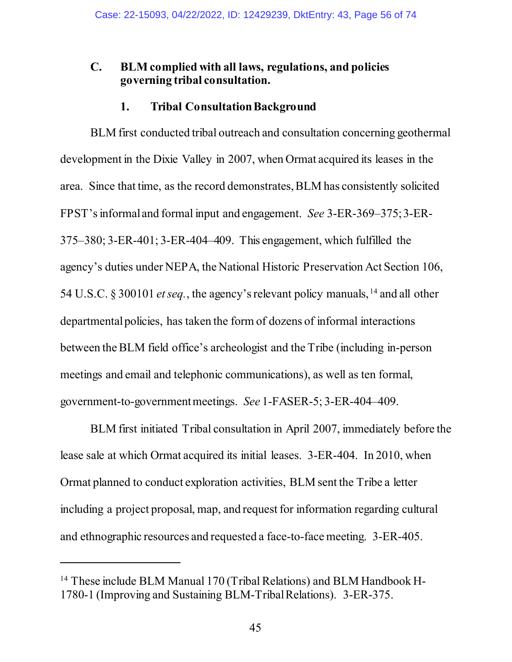### **C. BLM complied with all laws, regulations, and policies governing tribal consultation.**

### **1. Tribal ConsultationBackground**

BLM first conducted tribal outreach and consultation concerning geothermal development in the Dixie Valley in 2007, when Ormat acquired its leases in the area. Since that time, as the record demonstrates, BLM has consistently solicited FPST'sinformal and formal input and engagement. *See* 3-ER-369–375; 3-ER-375–380; 3-ER-401; 3-ER-404–409. This engagement, which fulfilled the agency's duties under NEPA, the National Historic Preservation Act Section 106, 54 U.S.C. § 300101 *et seq.*, the agency's relevant policy manuals, [14](#page-55-0) and all other departmental policies, has taken the form of dozens of informal interactions between the BLM field office's archeologist and the Tribe (including in-person meetings and email and telephonic communications), as well as ten formal, government-to-government meetings. *See* 1-FASER-5; 3-ER-404–409.

BLM first initiated Tribal consultation in April 2007, immediately before the lease sale at which Ormat acquired its initial leases. 3-ER-404. In 2010, when Ormat planned to conduct exploration activities, BLM sent the Tribe a letter including a project proposal, map, and request for information regarding cultural and ethnographic resources and requested a face-to-face meeting. 3-ER-405.

<span id="page-55-0"></span><sup>&</sup>lt;sup>14</sup> These include BLM Manual 170 (Tribal Relations) and BLM Handbook H-1780-1 (Improving and Sustaining BLM-Tribal Relations). 3-ER-375.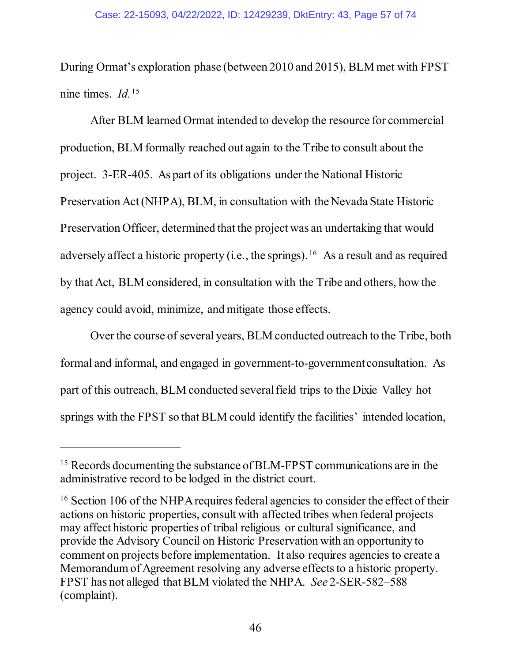During Ormat's exploration phase (between 2010 and 2015), BLM met with FPST nine times. *Id.* [15](#page-56-0)

After BLM learned Ormat intended to develop the resource for commercial production, BLM formally reached out again to the Tribe to consult about the project. 3-ER-405.As part of its obligations under the National Historic Preservation Act (NHPA), BLM, in consultation with the Nevada State Historic Preservation Officer, determined that the project was an undertaking that would adversely affect a historic property (i.e., the springs). <sup>[16](#page-56-1)</sup> As a result and as required by that Act, BLM considered, in consultation with the Tribe and others, how the agency could avoid, minimize, and mitigate those effects.

Over the course of several years, BLM conducted outreach to the Tribe, both formal and informal, and engaged in government-to-government consultation. As part of this outreach, BLM conducted several field trips to the Dixie Valley hot springs with the FPST so that BLM could identify the facilities' intended location,

<span id="page-56-0"></span><sup>&</sup>lt;sup>15</sup> Records documenting the substance of BLM-FPST communications are in the administrative record to be lodged in the district court.

<span id="page-56-1"></span><sup>&</sup>lt;sup>16</sup> Section 106 of the NHPA requires federal agencies to consider the effect of their actions on historic properties, consult with affected tribes when federal projects may affect historic properties of tribal religious or cultural significance, and provide the Advisory Council on Historic Preservation with an opportunity to comment on projects before implementation. It also requires agencies to create a Memorandum of Agreement resolving any adverse effects to a historic property. FPST has not alleged that BLM violated the NHPA. *See* 2-SER-582–588 (complaint).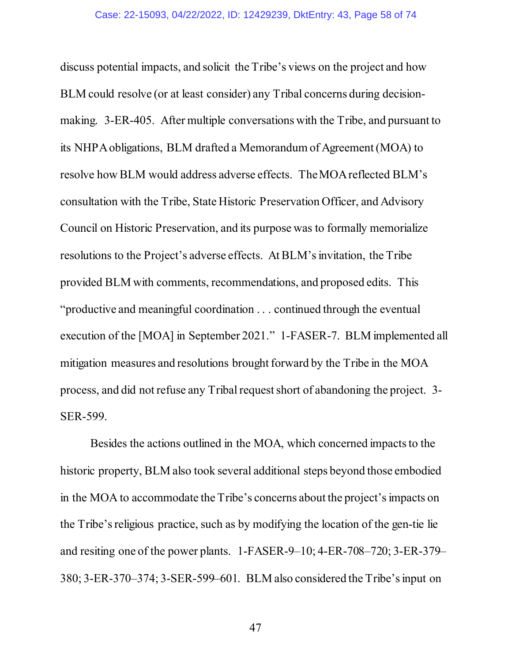discuss potential impacts, and solicit the Tribe's views on the project and how BLM could resolve (or at least consider) any Tribal concerns during decisionmaking. 3-ER-405. After multiple conversations with the Tribe, and pursuant to its NHPA obligations, BLM drafted a Memorandum of Agreement (MOA) to resolve how BLM would address adverse effects. The MOAreflected BLM's consultation with the Tribe, State Historic Preservation Officer, and Advisory Council on Historic Preservation, and its purpose was to formally memorialize resolutions to the Project's adverse effects. At BLM'sinvitation, the Tribe provided BLM with comments, recommendations, and proposed edits. This "productive and meaningful coordination . . . continued through the eventual execution of the [MOA] in September 2021." 1-FASER-7. BLM implemented all mitigation measures and resolutions brought forward by the Tribe in the MOA process, and did not refuse any Tribal request short of abandoning the project. 3- SER-599.

Besides the actions outlined in the MOA, which concerned impacts to the historic property, BLM also took several additional steps beyond those embodied in the MOA to accommodate the Tribe's concerns about the project's impacts on the Tribe's religious practice, such as by modifying the location of the gen-tie lie and resiting one of the power plants. 1-FASER-9–10; 4-ER-708–720; 3-ER-379– 380; 3-ER-370–374; 3-SER-599–601. BLM also considered the Tribe's input on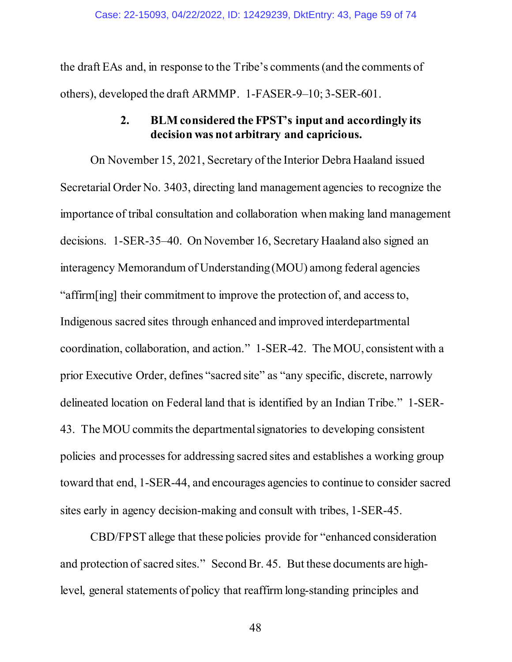the draft EAs and, in response to the Tribe's comments (and the comments of others), developed the draft ARMMP. 1-FASER-9–10; 3-SER-601.

# **2. BLM considered the FPST's input and accordingly its decision was not arbitrary and capricious.**

On November 15, 2021, Secretary of the Interior Debra Haaland issued Secretarial Order No. 3403, directing land management agencies to recognize the importance of tribal consultation and collaboration when making land management decisions. 1-SER-35–40. On November 16, Secretary Haaland also signed an interagency Memorandum of Understanding (MOU) among federal agencies "affirm[ing] their commitment to improve the protection of, and access to, Indigenous sacred sites through enhanced and improved interdepartmental coordination, collaboration, and action." 1-SER-42. The MOU, consistent with a prior Executive Order, defines "sacred site" as "any specific, discrete, narrowly delineated location on Federal land that is identified by an Indian Tribe." 1-SER-43. The MOU commits the departmental signatories to developing consistent policies and processes for addressing sacred sites and establishes a working group toward that end, 1-SER-44, and encourages agencies to continue to consider sacred sites early in agency decision-making and consult with tribes, 1-SER-45.

CBD/FPST allege that these policies provide for "enhanced consideration and protection of sacred sites." Second Br. 45. But these documents are highlevel, general statements of policy that reaffirm long-standing principles and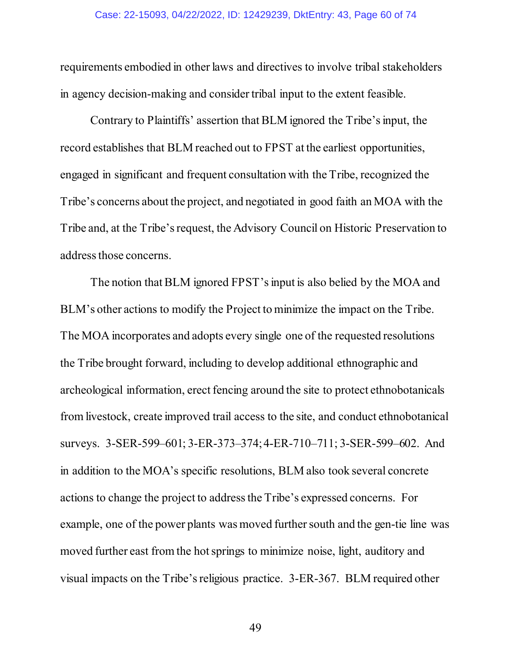requirements embodied in other laws and directives to involve tribal stakeholders in agency decision-making and consider tribal input to the extent feasible.

Contrary to Plaintiffs' assertion that BLM ignored the Tribe's input, the record establishes that BLM reached out to FPST at the earliest opportunities, engaged in significant and frequent consultation with the Tribe, recognized the Tribe's concerns about the project, and negotiated in good faith an MOA with the Tribe and, at the Tribe's request, the Advisory Council on Historic Preservation to address those concerns.

The notion that BLM ignored FPST's input is also belied by the MOA and BLM's other actions to modify the Project to minimize the impact on the Tribe. The MOA incorporates and adopts every single one of the requested resolutions the Tribe brought forward, including to develop additional ethnographic and archeological information, erect fencing around the site to protect ethnobotanicals from livestock, create improved trail access to the site, and conduct ethnobotanical surveys. 3-SER-599–601; 3-ER-373–374; 4-ER-710–711; 3-SER-599–602. And in addition to the MOA's specific resolutions, BLM also took several concrete actions to change the project to addressthe Tribe's expressed concerns. For example, one of the power plants was moved further south and the gen-tie line was moved further east from the hot springs to minimize noise, light, auditory and visual impacts on the Tribe's religious practice. 3-ER-367. BLM required other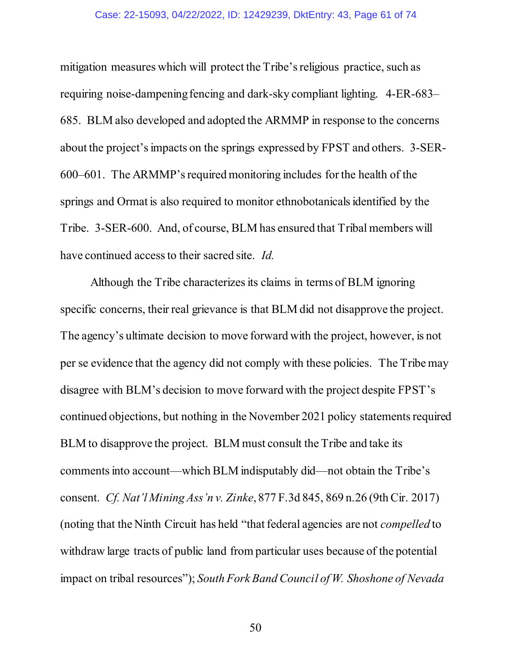#### Case: 22-15093, 04/22/2022, ID: 12429239, DktEntry: 43, Page 61 of 74

mitigation measures which will protect the Tribe's religious practice, such as requiring noise-dampening fencing and dark-sky compliant lighting. 4-ER-683– 685. BLM also developed and adopted the ARMMP in response to the concerns about the project's impacts on the springs expressed by FPST and others. 3-SER-600–601. The ARMMP's required monitoring includes for the health of the springs and Ormat is also required to monitor ethnobotanicals identified by the Tribe. 3-SER-600. And, of course, BLM has ensured that Tribal members will have continued access to their sacred site. *Id.*

Although the Tribe characterizes its claims in terms of BLM ignoring specific concerns, their real grievance is that BLM did not disapprove the project. The agency's ultimate decision to move forward with the project, however, is not per se evidence that the agency did not comply with these policies. The Tribe may disagree with BLM's decision to move forward with the project despite FPST's continued objections, but nothing in the November 2021 policy statements required BLM to disapprove the project. BLM must consult the Tribe and take its comments into account—which BLM indisputably did—not obtain the Tribe's consent. *Cf. Nat'l Mining Ass'n v. Zinke*, 877 F.3d 845, 869 n.26 (9th Cir. 2017) (noting that the Ninth Circuit has held "that federal agencies are not *compelled* to withdraw large tracts of public land from particular uses because of the potential impact on tribal resources"); *South Fork Band Council of W. Shoshone of Nevada*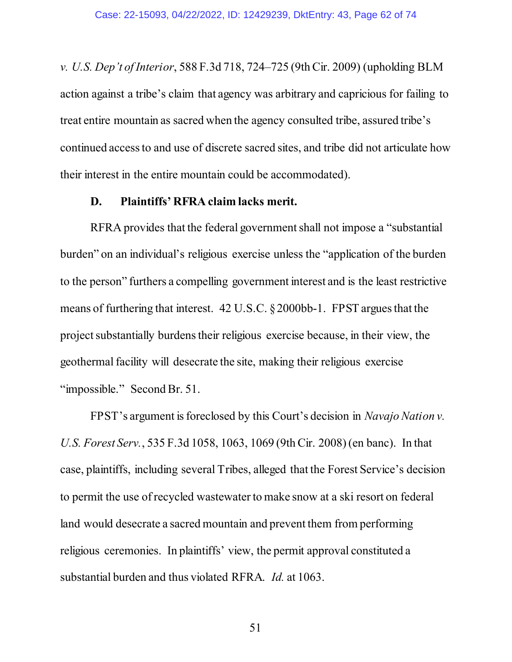*v. U.S. Dep't of Interior*, 588 F.3d 718, 724–725 (9th Cir. 2009) (upholding BLM action against a tribe's claim that agency was arbitrary and capricious for failing to treat entire mountain as sacred when the agency consulted tribe, assured tribe's continued access to and use of discrete sacred sites, and tribe did not articulate how their interest in the entire mountain could be accommodated).

### **D. Plaintiffs' RFRA claim lacks merit.**

RFRA provides that the federal government shall not impose a "substantial burden" on an individual's religious exercise unless the "application of the burden to the person" furthers a compelling government interest and is the least restrictive means of furthering that interest. 42 U.S.C. § 2000bb-1. FPST argues that the project substantially burdens their religious exercise because, in their view, the geothermal facility will desecrate the site, making their religious exercise "impossible." Second Br. 51.

FPST's argument is foreclosed by this Court's decision in *Navajo Nation v. U.S. Forest Serv.*, 535 F.3d 1058, 1063, 1069 (9th Cir. 2008) (en banc). In that case, plaintiffs, including several Tribes, alleged that the Forest Service's decision to permit the use of recycled wastewater to make snow at a ski resort on federal land would desecrate a sacred mountain and prevent them from performing religious ceremonies. In plaintiffs' view, the permit approval constituted a substantial burden and thus violated RFRA. *Id.* at 1063.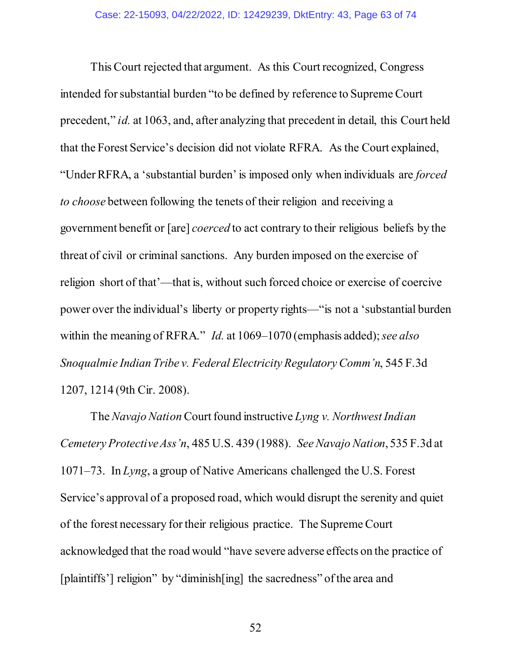This Court rejected that argument. As this Court recognized, Congress intended for substantial burden "to be defined by reference to Supreme Court precedent," *id.* at 1063, and, after analyzing that precedent in detail, this Court held that the Forest Service's decision did not violate RFRA. As the Court explained, "Under RFRA, a 'substantial burden' is imposed only when individuals are *forced to choose* between following the tenets of their religion and receiving a government benefit or [are] *coerced* to act contrary to their religious beliefs by the threat of civil or criminal sanctions. Any burden imposed on the exercise of religion short of that'—that is, without such forced choice or exercise of coercive power over the individual's liberty or property rights—"is not a 'substantial burden within the meaning of RFRA." *Id.* at 1069–1070 (emphasis added);*see also Snoqualmie Indian Tribe v. Federal Electricity Regulatory Comm'n*, 545 F.3d 1207, 1214 (9th Cir. 2008).

The *Navajo Nation* Court found instructive *Lyng v. Northwest Indian Cemetery Protective Ass'n*, 485 U.S. 439 (1988). *See Navajo Nation*, 535 F.3d at 1071–73. In *Lyng*, a group of Native Americans challenged the U.S. Forest Service's approval of a proposed road, which would disrupt the serenity and quiet of the forest necessary for their religious practice. The Supreme Court acknowledged that the road would "have severe adverse effects on the practice of [plaintiffs'] religion" by "diminish[ing] the sacredness" of the area and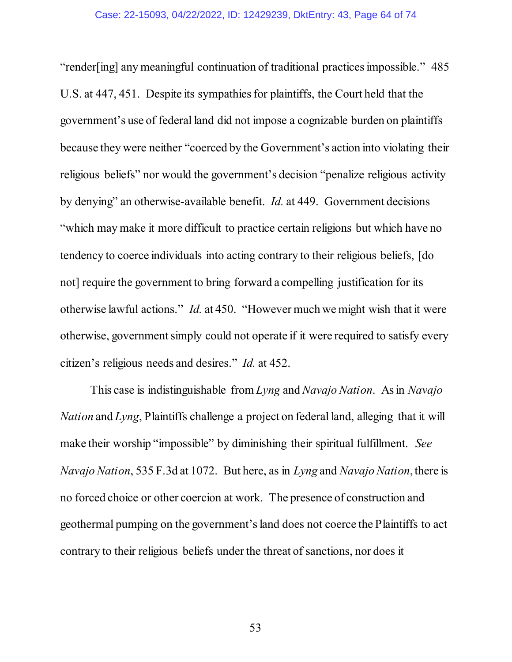"render[ing] any meaningful continuation of traditional practices impossible." 485 U.S. at 447, 451. Despite its sympathies for plaintiffs, the Court held that the government's use of federal land did not impose a cognizable burden on plaintiffs because they were neither "coerced by the Government's action into violating their religious beliefs" nor would the government's decision "penalize religious activity by denying" an otherwise-available benefit. *Id.* at 449. Government decisions "which may make it more difficult to practice certain religions but which have no tendency to coerce individuals into acting contrary to their religious beliefs, [do not] require the government to bring forward a compelling justification for its otherwise lawful actions." *Id.* at 450. "However much we might wish that it were otherwise, government simply could not operate if it were required to satisfy every citizen's religious needs and desires." *Id.* at 452.

This case is indistinguishable from *Lyng* and *Navajo Nation*. As in *Navajo Nation* and *Lyng*, Plaintiffs challenge a project on federal land, alleging that it will make their worship "impossible" by diminishing their spiritual fulfillment. *See Navajo Nation*, 535 F.3d at 1072. But here, as in *Lyng* and *Navajo Nation*,there is no forced choice or other coercion at work. The presence of construction and geothermal pumping on the government's land does not coerce the Plaintiffs to act contrary to their religious beliefs under the threat of sanctions, nor does it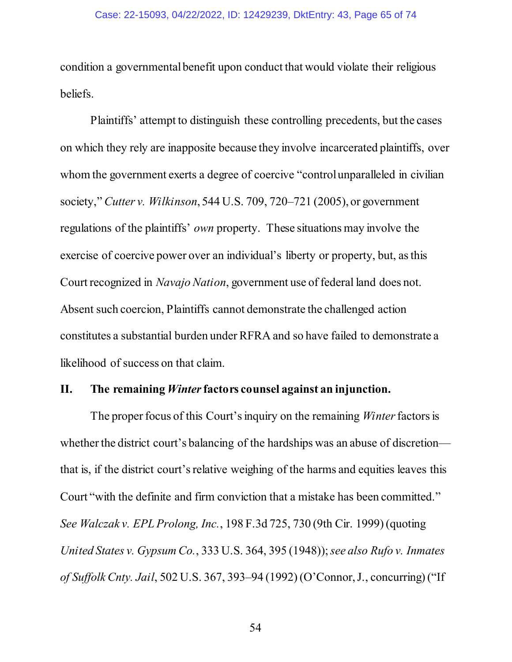condition a governmental benefit upon conduct that would violate their religious beliefs.

Plaintiffs' attempt to distinguish these controlling precedents, but the cases on which they rely are inapposite because they involve incarcerated plaintiffs, over whom the government exerts a degree of coercive "control unparalleled in civilian society," *Cutter v. Wilkinson*, 544 U.S. 709, 720–721 (2005), or government regulations of the plaintiffs' *own* property. These situations may involve the exercise of coercive power over an individual's liberty or property, but, as this Court recognized in *Navajo Nation*, government use of federal land does not. Absent such coercion, Plaintiffs cannot demonstrate the challenged action constitutes a substantial burden under RFRA and so have failed to demonstrate a likelihood of success on that claim.

### **II. The remaining** *Winter***factors counsel against an injunction.**

The proper focus of this Court's inquiry on the remaining *Winter* factors is whether the district court's balancing of the hardships was an abuse of discretion that is, if the district court's relative weighing of the harms and equities leaves this Court "with the definite and firm conviction that a mistake has been committed." *See Walczak v. EPL Prolong, Inc.*, 198 F.3d 725, 730 (9th Cir. 1999) (quoting *United States v. Gypsum Co.*, 333 U.S. 364, 395 (1948)); *see also Rufo v. Inmates of Suffolk Cnty. Jail*, 502 U.S. 367, 393–94 (1992) (O'Connor, J., concurring) ("If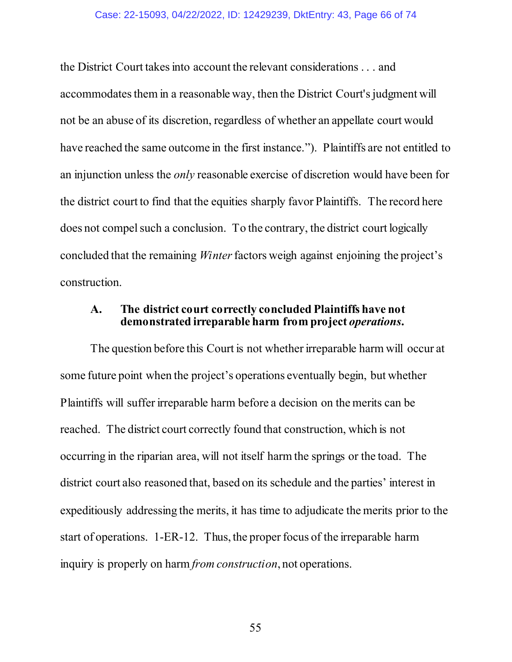#### Case: 22-15093, 04/22/2022, ID: 12429239, DktEntry: 43, Page 66 of 74

the District Court takes into account the relevant considerations . . . and accommodates them in a reasonable way, then the District Court's judgment will not be an abuse of its discretion, regardless of whether an appellate court would have reached the same outcome in the first instance."). Plaintiffs are not entitled to an injunction unless the *only* reasonable exercise of discretion would have been for the district court to find that the equities sharply favor Plaintiffs. The record here does not compel such a conclusion. To the contrary, the district court logically concluded that the remaining *Winter* factors weigh against enjoining the project's construction.

### **A. The district court correctly concluded Plaintiffs have not demonstrated irreparable harm from project** *operations***.**

The question before this Court is not whether irreparable harm will occur at some future point when the project's operations eventually begin, but whether Plaintiffs will suffer irreparable harm before a decision on the merits can be reached. The district court correctly found that construction, which is not occurring in the riparian area, will not itself harm the springs or the toad. The district court also reasoned that, based on its schedule and the parties' interest in expeditiously addressing the merits, it has time to adjudicate the merits prior to the start of operations. 1-ER-12. Thus, the proper focus of the irreparable harm inquiry is properly on harm *from construction*, not operations.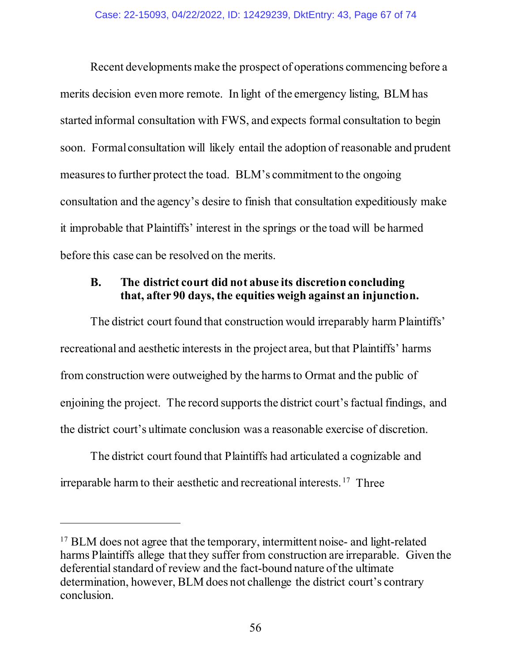Recent developments make the prospect of operations commencing before a merits decision even more remote. In light of the emergency listing, BLM has started informal consultation with FWS, and expects formal consultation to begin soon. Formal consultation will likely entail the adoption of reasonable and prudent measures to further protect the toad. BLM's commitment to the ongoing consultation and the agency's desire to finish that consultation expeditiously make it improbable that Plaintiffs' interest in the springs or the toad will be harmed before this case can be resolved on the merits.

# **B. The district court did not abuse its discretion concluding that, after 90 days, the equities weigh against an injunction.**

The district court found that construction would irreparably harm Plaintiffs' recreational and aesthetic interests in the project area, but that Plaintiffs' harms from construction were outweighed by the harms to Ormat and the public of enjoining the project. The record supports the district court's factual findings, and the district court's ultimate conclusion was a reasonable exercise of discretion.

The district court found that Plaintiffs had articulated a cognizable and irreparable harm to their aesthetic and recreational interests. [17](#page-66-0) Three

<span id="page-66-0"></span><sup>&</sup>lt;sup>17</sup> BLM does not agree that the temporary, intermittent noise- and light-related harms Plaintiffs allege that they suffer from construction are irreparable. Given the deferential standard of review and the fact-bound nature of the ultimate determination, however, BLM does not challenge the district court's contrary conclusion.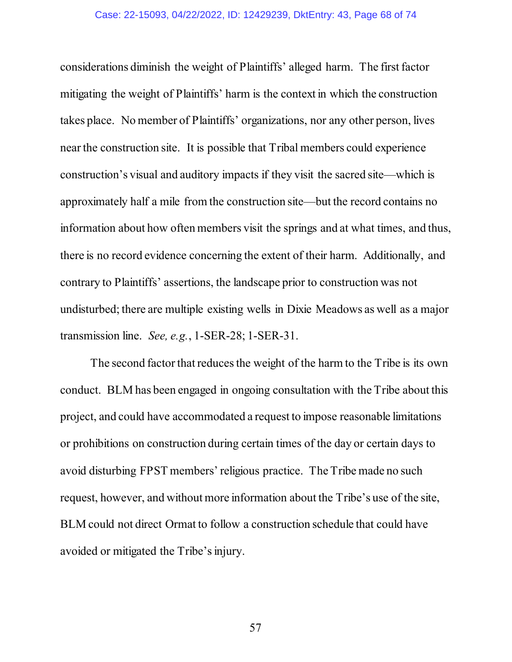considerations diminish the weight of Plaintiffs' alleged harm. The first factor mitigating the weight of Plaintiffs' harm is the context in which the construction takes place. No member of Plaintiffs' organizations, nor any other person, lives near the construction site. It is possible that Tribal members could experience construction's visual and auditory impacts if they visit the sacred site—which is approximately half a mile from the construction site—but the record contains no information about how often members visit the springs and at what times, and thus, there is no record evidence concerning the extent of their harm. Additionally, and contrary to Plaintiffs' assertions, the landscape prior to construction was not undisturbed; there are multiple existing wells in Dixie Meadows as well as a major transmission line. *See, e.g.*, 1-SER-28; 1-SER-31.

The second factor that reduces the weight of the harm to the Tribe is its own conduct. BLM has been engaged in ongoing consultation with the Tribe about this project, and could have accommodated a request to impose reasonable limitations or prohibitions on construction during certain times of the day or certain days to avoid disturbing FPST members' religious practice. The Tribe made no such request, however, and without more information about the Tribe's use of the site, BLM could not direct Ormat to follow a construction schedule that could have avoided or mitigated the Tribe's injury.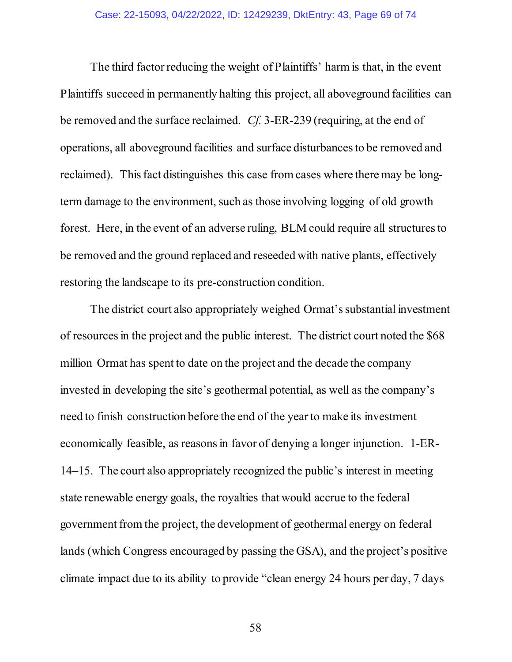The third factor reducing the weight of Plaintiffs' harm is that, in the event Plaintiffs succeed in permanently halting this project, all aboveground facilities can be removed and the surface reclaimed. *Cf.* 3-ER-239 (requiring, at the end of operations, all aboveground facilities and surface disturbances to be removed and reclaimed). This fact distinguishes this case from cases where there may be longterm damage to the environment, such as those involving logging of old growth forest. Here, in the event of an adverse ruling, BLM could require all structures to be removed and the ground replaced and reseeded with native plants, effectively restoring the landscape to its pre-construction condition.

The district court also appropriately weighed Ormat's substantial investment of resourcesin the project and the public interest. The district court noted the \$68 million Ormat has spent to date on the project and the decade the company invested in developing the site's geothermal potential, as well as the company's need to finish construction before the end of the year to make its investment economically feasible, as reasons in favor of denying a longer injunction. 1-ER-14–15. The court also appropriately recognized the public's interest in meeting state renewable energy goals, the royalties that would accrue to the federal government from the project, the development of geothermal energy on federal lands (which Congress encouraged by passing the GSA), and the project's positive climate impact due to its ability to provide "clean energy 24 hours per day, 7 days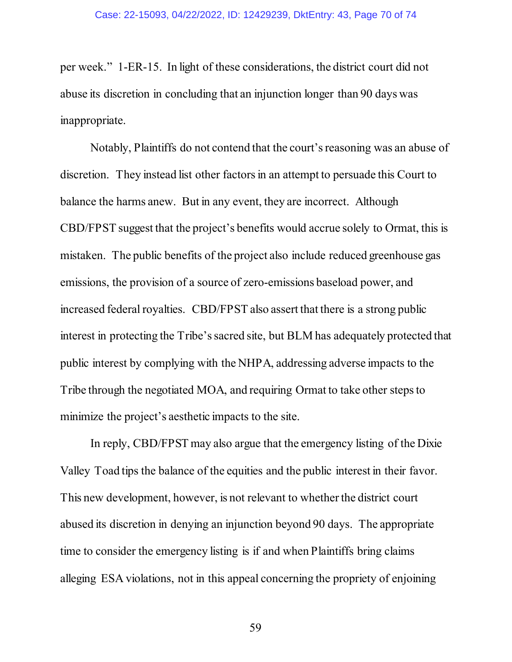per week." 1-ER-15. In light of these considerations, the district court did not abuse its discretion in concluding that an injunction longer than 90 days was inappropriate.

Notably, Plaintiffs do not contend that the court's reasoning was an abuse of discretion. They instead list other factors in an attempt to persuade this Court to balance the harms anew. But in any event, they are incorrect. Although CBD/FPST suggest that the project's benefits would accrue solely to Ormat, this is mistaken. The public benefits of the project also include reduced greenhouse gas emissions, the provision of a source of zero-emissions baseload power, and increased federal royalties. CBD/FPST also assert that there is a strong public interest in protecting the Tribe's sacred site, but BLM has adequately protected that public interest by complying with the NHPA, addressing adverse impacts to the Tribe through the negotiated MOA, and requiring Ormat to take other steps to minimize the project's aesthetic impacts to the site.

In reply, CBD/FPST may also argue that the emergency listing of the Dixie Valley Toad tips the balance of the equities and the public interest in their favor. This new development, however, is not relevant to whether the district court abused its discretion in denying an injunction beyond 90 days. The appropriate time to consider the emergency listing is if and when Plaintiffs bring claims alleging ESA violations, not in this appeal concerning the propriety of enjoining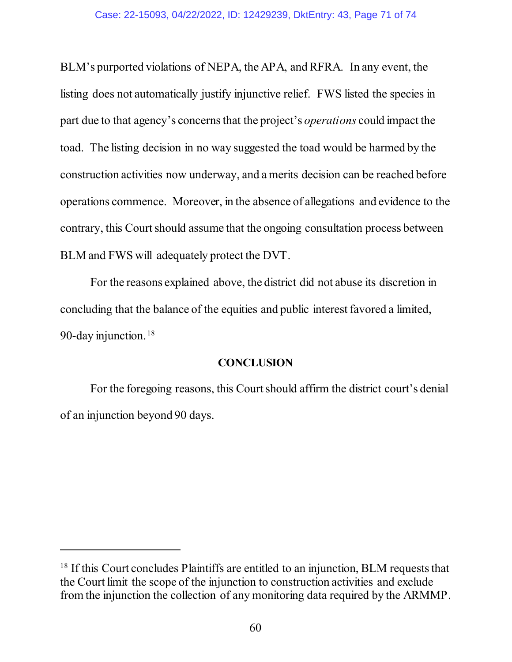BLM's purported violations of NEPA, the APA, and RFRA. In any event, the listing does not automatically justify injunctive relief. FWS listed the species in part due to that agency's concerns that the project's *operations* could impact the toad. The listing decision in no way suggested the toad would be harmed by the construction activities now underway, and a merits decision can be reached before operations commence. Moreover, in the absence of allegations and evidence to the contrary, this Court should assume that the ongoing consultation process between BLM and FWS will adequately protect the DVT.

For the reasons explained above, the district did not abuse its discretion in concluding that the balance of the equities and public interest favored a limited, 90-day injunction. [18](#page-70-0)

### **CONCLUSION**

For the foregoing reasons, this Court should affirm the district court's denial of an injunction beyond 90 days.

 $\overline{a}$ 

<span id="page-70-0"></span><sup>&</sup>lt;sup>18</sup> If this Court concludes Plaintiffs are entitled to an injunction, BLM requests that the Court limit the scope of the injunction to construction activities and exclude from the injunction the collection of any monitoring data required by the ARMMP.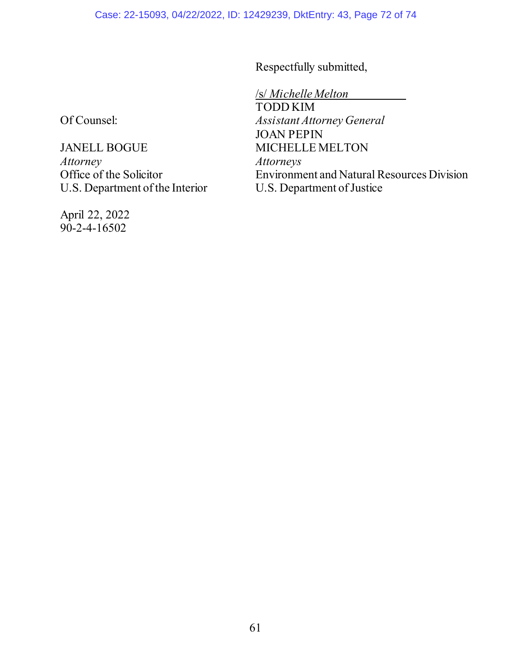Respectfully submitted,

/s/ *Michelle Melton* TODD KIM *Assistant Attorney General* JOAN PEPIN MICHELLE MELTON *Attorneys* Environment and Natural Resources Division U.S. Department of Justice

Of Counsel:

JANELL BOGUE *Attorney* Office of the Solicitor U.S. Department of the Interior

April 22, 2022  $90 - 2 - 4 - 16502$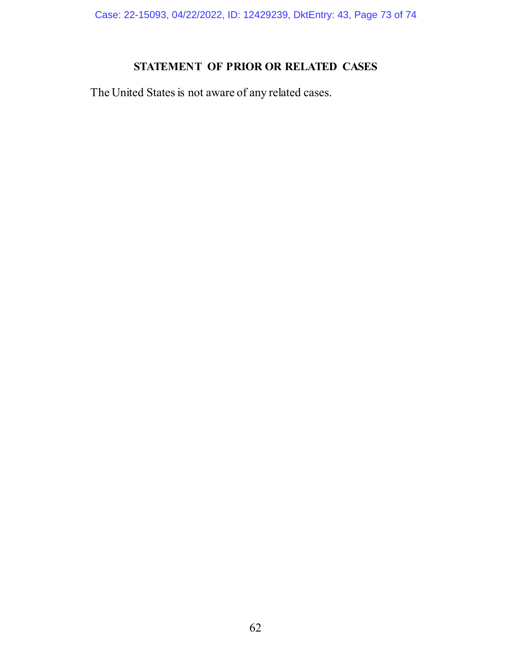Case: 22-15093, 04/22/2022, ID: 12429239, DktEntry: 43, Page 73 of 74

## **STATEMENT OF PRIOR OR RELATED CASES**

The United States is not aware of any related cases.